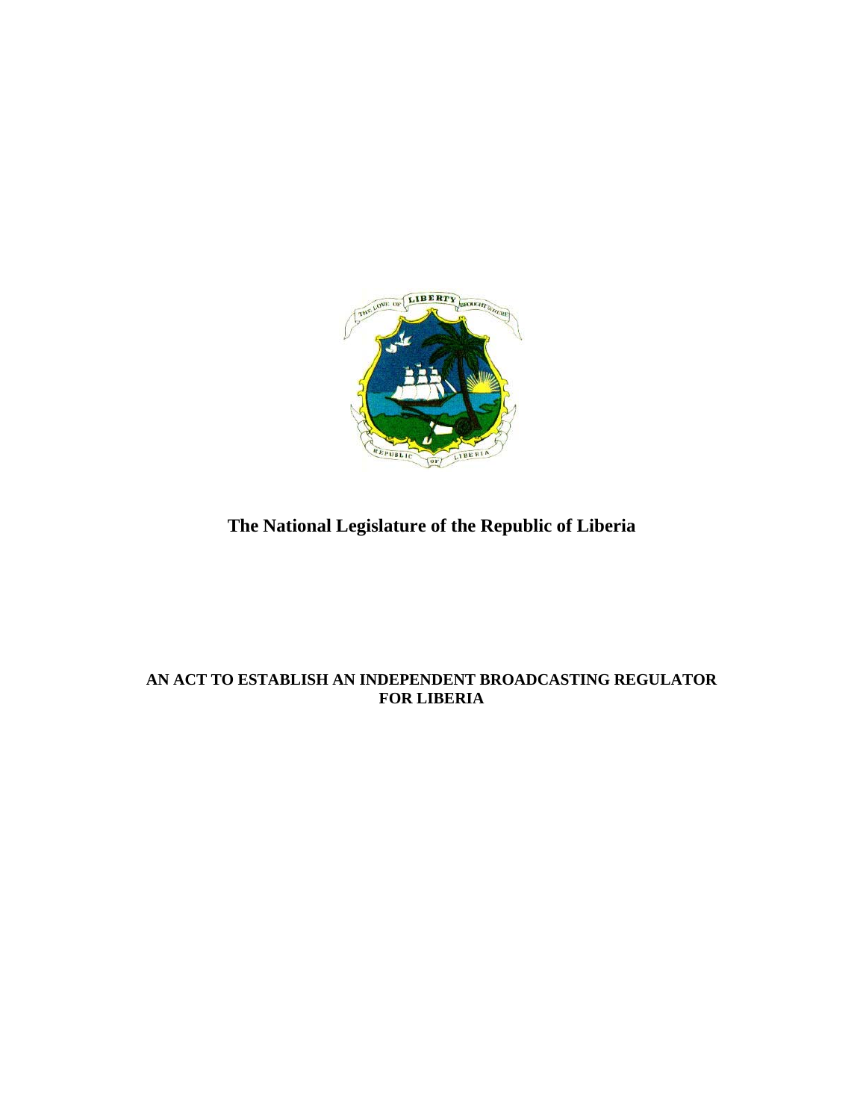

# **The National Legislature of the Republic of Liberia**

## **AN ACT TO ESTABLISH AN INDEPENDENT BROADCASTING REGULATOR FOR LIBERIA**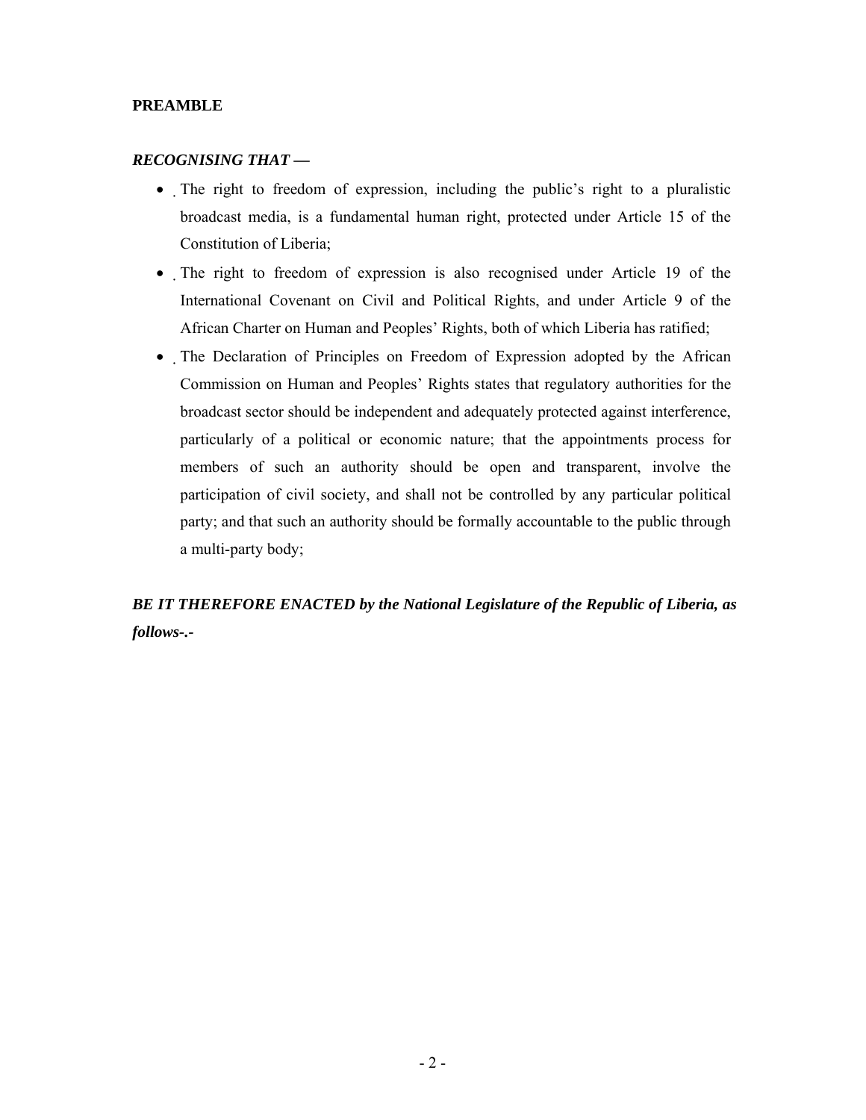#### **PREAMBLE**

#### *RECOGNISING THAT —*

- The right to freedom of expression, including the public's right to a pluralistic broadcast media, is a fundamental human right, protected under Article 15 of the Constitution of Liberia;
- The right to freedom of expression is also recognised under Article 19 of the International Covenant on Civil and Political Rights, and under Article 9 of the African Charter on Human and Peoples' Rights, both of which Liberia has ratified;
- The Declaration of Principles on Freedom of Expression adopted by the African Commission on Human and Peoples' Rights states that regulatory authorities for the broadcast sector should be independent and adequately protected against interference, particularly of a political or economic nature; that the appointments process for members of such an authority should be open and transparent, involve the participation of civil society, and shall not be controlled by any particular political party; and that such an authority should be formally accountable to the public through a multi-party body;

*BE IT THEREFORE ENACTED by the National Legislature of the Republic of Liberia, as follows-.-*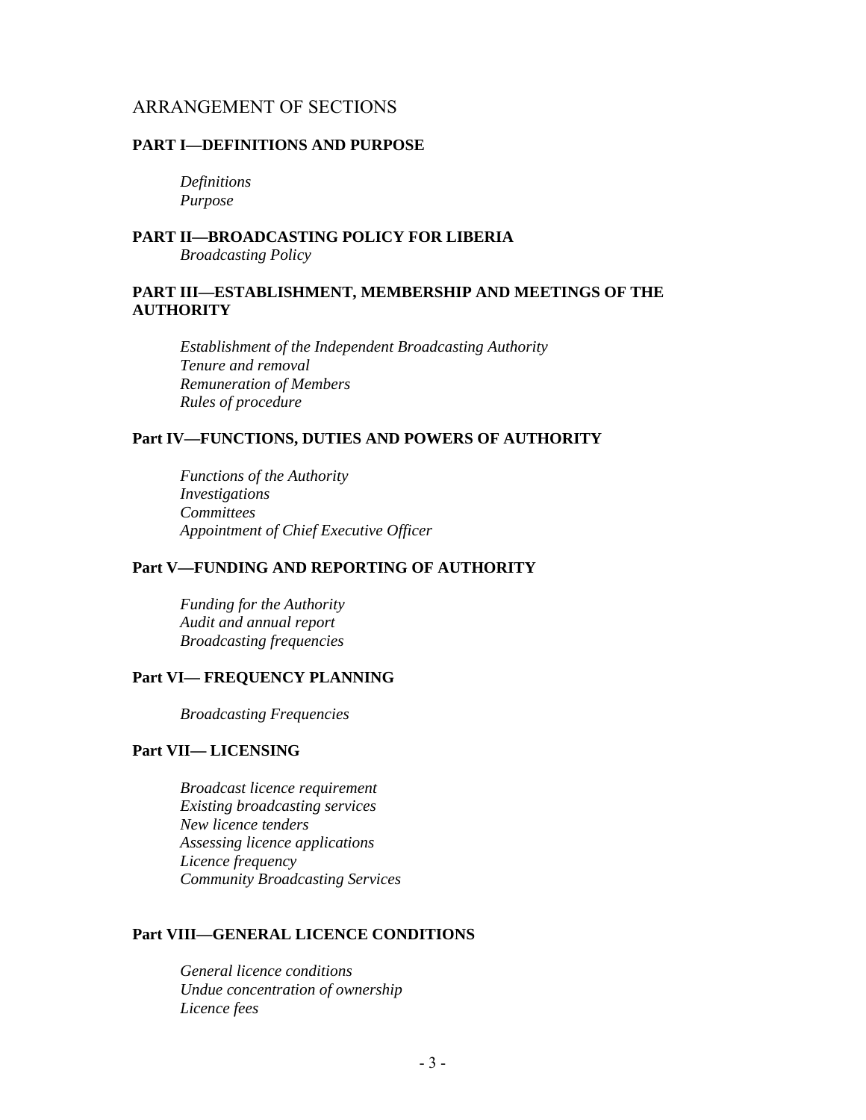#### ARRANGEMENT OF SECTIONS

#### **PART I—DEFINITIONS AND PURPOSE**

*Definitions Purpose* 

#### **PART II—BROADCASTING POLICY FOR LIBERIA**  *Broadcasting Policy*

#### **PART III—ESTABLISHMENT, MEMBERSHIP AND MEETINGS OF THE AUTHORITY**

*Establishment of the Independent Broadcasting Authority Tenure and removal Remuneration of Members Rules of procedure*

#### **Part IV—FUNCTIONS, DUTIES AND POWERS OF AUTHORITY**

*Functions of the Authority Investigations Committees Appointment of Chief Executive Officer* 

#### **Part V—FUNDING AND REPORTING OF AUTHORITY**

*Funding for the Authority Audit and annual report Broadcasting frequencies* 

#### **Part VI— FREQUENCY PLANNING**

 *Broadcasting Frequencies* 

#### **Part VII— LICENSING**

*Broadcast licence requirement Existing broadcasting services New licence tenders Assessing licence applications Licence frequency Community Broadcasting Services* 

#### **Part VIII—GENERAL LICENCE CONDITIONS**

*General licence conditions Undue concentration of ownership Licence fees*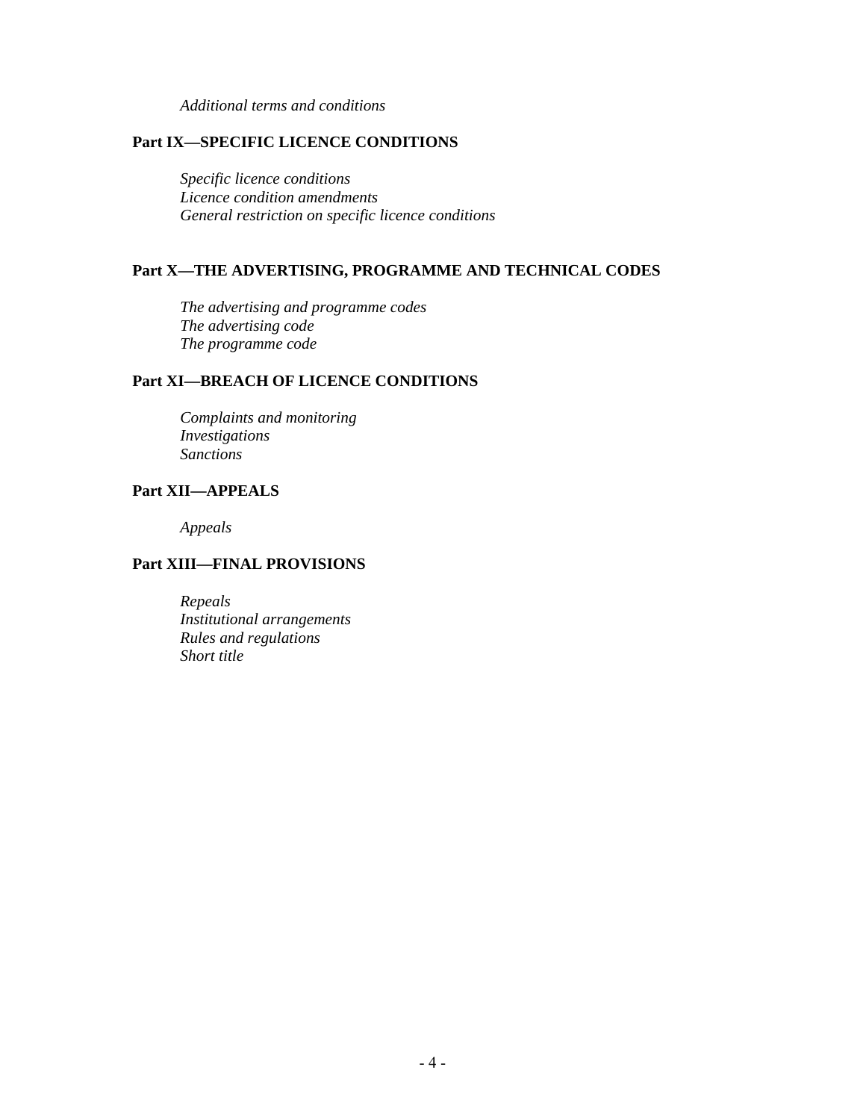*Additional terms and conditions* 

#### **Part IX—SPECIFIC LICENCE CONDITIONS**

*Specific licence conditions Licence condition amendments General restriction on specific licence conditions* 

#### **Part X—THE ADVERTISING, PROGRAMME AND TECHNICAL CODES**

*The advertising and programme codes The advertising code The programme code* 

#### **Part XI—BREACH OF LICENCE CONDITIONS**

*Complaints and monitoring Investigations Sanctions* 

#### **Part XII—APPEALS**

*Appeals* 

#### **Part XIII—FINAL PROVISIONS**

*Repeals Institutional arrangements Rules and regulations Short title*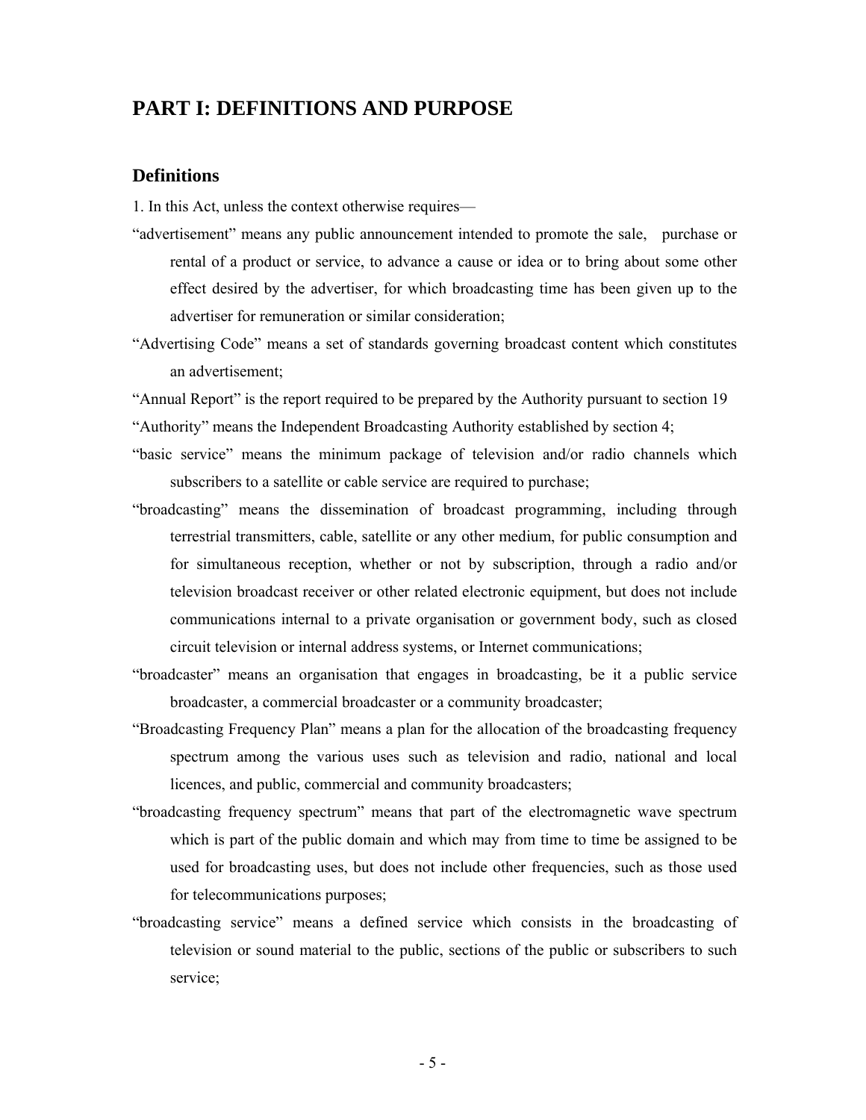## **PART I: DEFINITIONS AND PURPOSE**

#### **Definitions**

1. In this Act, unless the context otherwise requires—

- "advertisement" means any public announcement intended to promote the sale, purchase or rental of a product or service, to advance a cause or idea or to bring about some other effect desired by the advertiser, for which broadcasting time has been given up to the advertiser for remuneration or similar consideration;
- "Advertising Code" means a set of standards governing broadcast content which constitutes an advertisement;

"Annual Report" is the report required to be prepared by the Authority pursuant to section 19 "Authority" means the Independent Broadcasting Authority established by section 4;

- "basic service" means the minimum package of television and/or radio channels which subscribers to a satellite or cable service are required to purchase;
- "broadcasting" means the dissemination of broadcast programming, including through terrestrial transmitters, cable, satellite or any other medium, for public consumption and for simultaneous reception, whether or not by subscription, through a radio and/or television broadcast receiver or other related electronic equipment, but does not include communications internal to a private organisation or government body, such as closed circuit television or internal address systems, or Internet communications;
- "broadcaster" means an organisation that engages in broadcasting, be it a public service broadcaster, a commercial broadcaster or a community broadcaster;
- "Broadcasting Frequency Plan" means a plan for the allocation of the broadcasting frequency spectrum among the various uses such as television and radio, national and local licences, and public, commercial and community broadcasters;
- "broadcasting frequency spectrum" means that part of the electromagnetic wave spectrum which is part of the public domain and which may from time to time be assigned to be used for broadcasting uses, but does not include other frequencies, such as those used for telecommunications purposes;
- "broadcasting service" means a defined service which consists in the broadcasting of television or sound material to the public, sections of the public or subscribers to such service;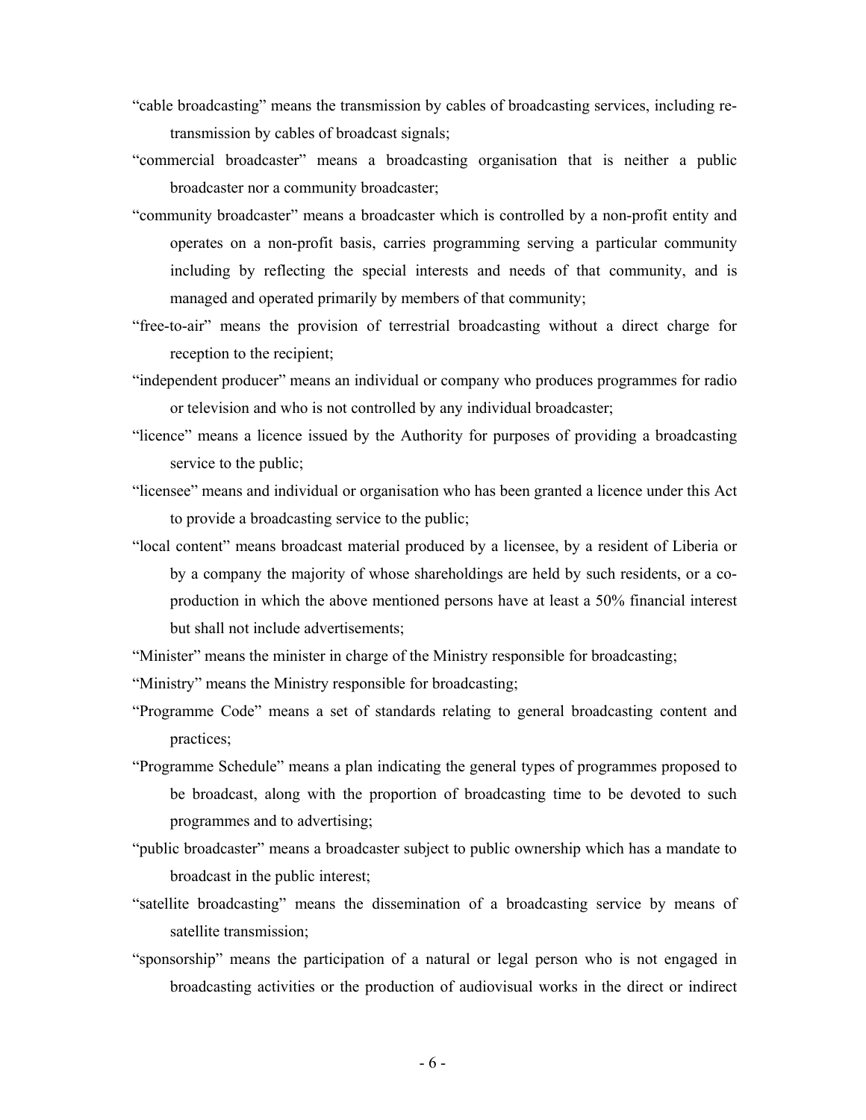- "cable broadcasting" means the transmission by cables of broadcasting services, including retransmission by cables of broadcast signals;
- "commercial broadcaster" means a broadcasting organisation that is neither a public broadcaster nor a community broadcaster;
- "community broadcaster" means a broadcaster which is controlled by a non-profit entity and operates on a non-profit basis, carries programming serving a particular community including by reflecting the special interests and needs of that community, and is managed and operated primarily by members of that community;
- "free-to-air" means the provision of terrestrial broadcasting without a direct charge for reception to the recipient;
- "independent producer" means an individual or company who produces programmes for radio or television and who is not controlled by any individual broadcaster;
- "licence" means a licence issued by the Authority for purposes of providing a broadcasting service to the public;
- "licensee" means and individual or organisation who has been granted a licence under this Act to provide a broadcasting service to the public;
- "local content" means broadcast material produced by a licensee, by a resident of Liberia or by a company the majority of whose shareholdings are held by such residents, or a coproduction in which the above mentioned persons have at least a 50% financial interest but shall not include advertisements;
- "Minister" means the minister in charge of the Ministry responsible for broadcasting;
- "Ministry" means the Ministry responsible for broadcasting;
- "Programme Code" means a set of standards relating to general broadcasting content and practices;
- "Programme Schedule" means a plan indicating the general types of programmes proposed to be broadcast, along with the proportion of broadcasting time to be devoted to such programmes and to advertising;
- "public broadcaster" means a broadcaster subject to public ownership which has a mandate to broadcast in the public interest;
- "satellite broadcasting" means the dissemination of a broadcasting service by means of satellite transmission;
- "sponsorship" means the participation of a natural or legal person who is not engaged in broadcasting activities or the production of audiovisual works in the direct or indirect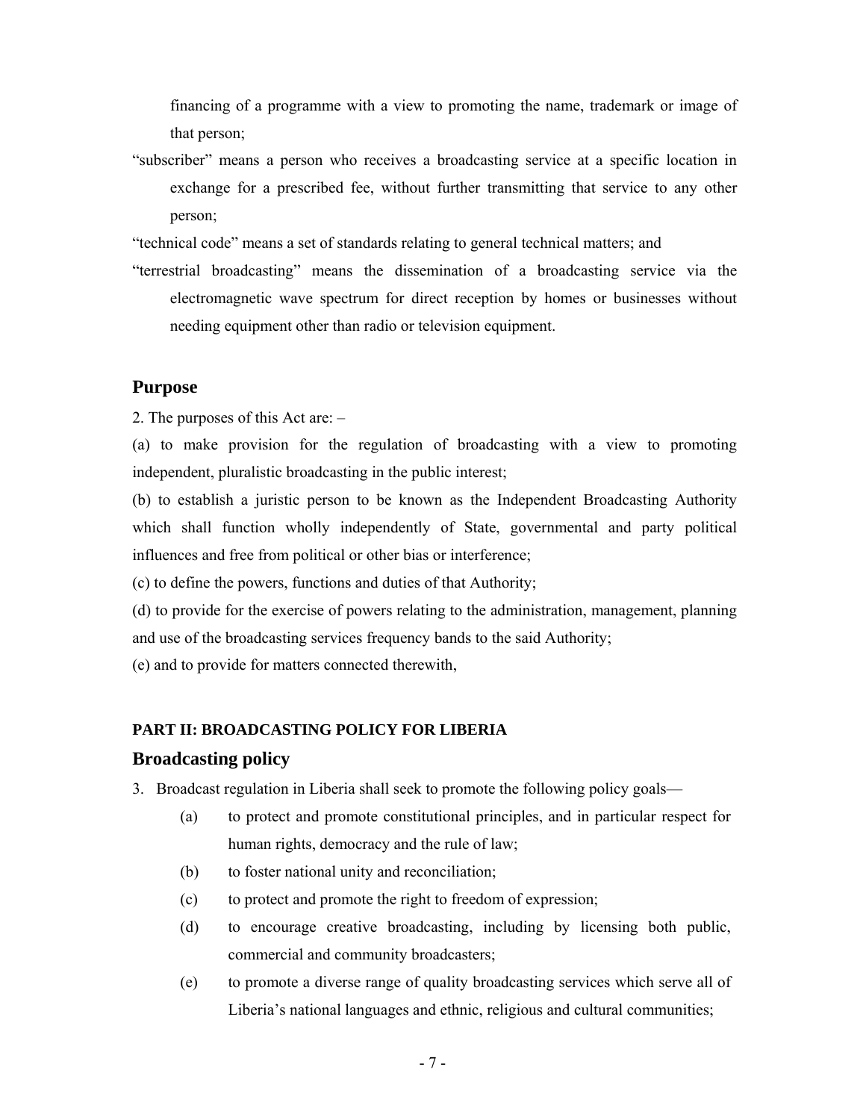financing of a programme with a view to promoting the name, trademark or image of that person;

"subscriber" means a person who receives a broadcasting service at a specific location in exchange for a prescribed fee, without further transmitting that service to any other person;

"technical code" means a set of standards relating to general technical matters; and

"terrestrial broadcasting" means the dissemination of a broadcasting service via the electromagnetic wave spectrum for direct reception by homes or businesses without needing equipment other than radio or television equipment.

#### **Purpose**

2. The purposes of this Act are: –

(a) to make provision for the regulation of broadcasting with a view to promoting independent, pluralistic broadcasting in the public interest;

(b) to establish a juristic person to be known as the Independent Broadcasting Authority which shall function wholly independently of State, governmental and party political influences and free from political or other bias or interference;

(c) to define the powers, functions and duties of that Authority;

(d) to provide for the exercise of powers relating to the administration, management, planning and use of the broadcasting services frequency bands to the said Authority;

(e) and to provide for matters connected therewith,

#### **PART II: BROADCASTING POLICY FOR LIBERIA**

#### **Broadcasting policy**

3. Broadcast regulation in Liberia shall seek to promote the following policy goals—

- (a) to protect and promote constitutional principles, and in particular respect for human rights, democracy and the rule of law;
- (b) to foster national unity and reconciliation;
- (c) to protect and promote the right to freedom of expression;
- (d) to encourage creative broadcasting, including by licensing both public, commercial and community broadcasters;
- (e) to promote a diverse range of quality broadcasting services which serve all of Liberia's national languages and ethnic, religious and cultural communities;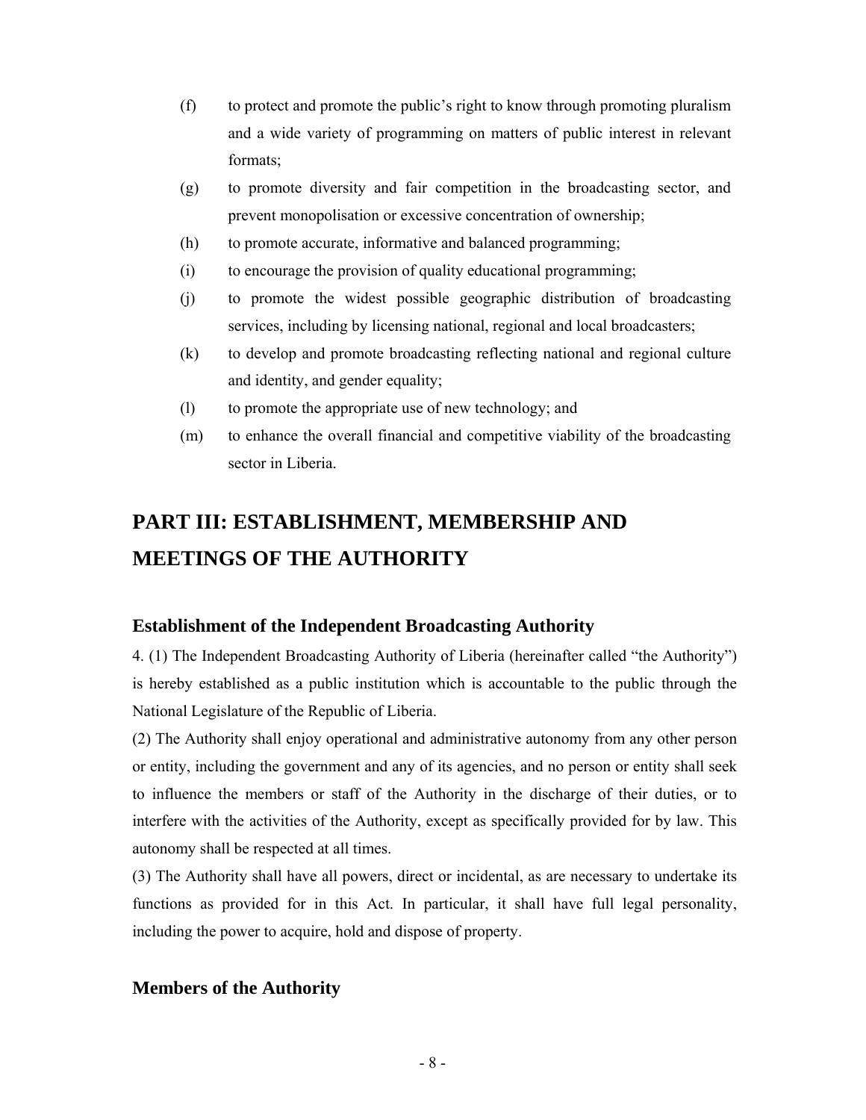- (f) to protect and promote the public's right to know through promoting pluralism and a wide variety of programming on matters of public interest in relevant formats;
- (g) to promote diversity and fair competition in the broadcasting sector, and prevent monopolisation or excessive concentration of ownership;
- (h) to promote accurate, informative and balanced programming;
- (i) to encourage the provision of quality educational programming;
- (j) to promote the widest possible geographic distribution of broadcasting services, including by licensing national, regional and local broadcasters;
- (k) to develop and promote broadcasting reflecting national and regional culture and identity, and gender equality;
- (l) to promote the appropriate use of new technology; and
- (m) to enhance the overall financial and competitive viability of the broadcasting sector in Liberia.

# **PART III: ESTABLISHMENT, MEMBERSHIP AND MEETINGS OF THE AUTHORITY**

#### **Establishment of the Independent Broadcasting Authority**

4. (1) The Independent Broadcasting Authority of Liberia (hereinafter called "the Authority") is hereby established as a public institution which is accountable to the public through the National Legislature of the Republic of Liberia.

(2) The Authority shall enjoy operational and administrative autonomy from any other person or entity, including the government and any of its agencies, and no person or entity shall seek to influence the members or staff of the Authority in the discharge of their duties, or to interfere with the activities of the Authority, except as specifically provided for by law. This autonomy shall be respected at all times.

(3) The Authority shall have all powers, direct or incidental, as are necessary to undertake its functions as provided for in this Act. In particular, it shall have full legal personality, including the power to acquire, hold and dispose of property.

#### **Members of the Authority**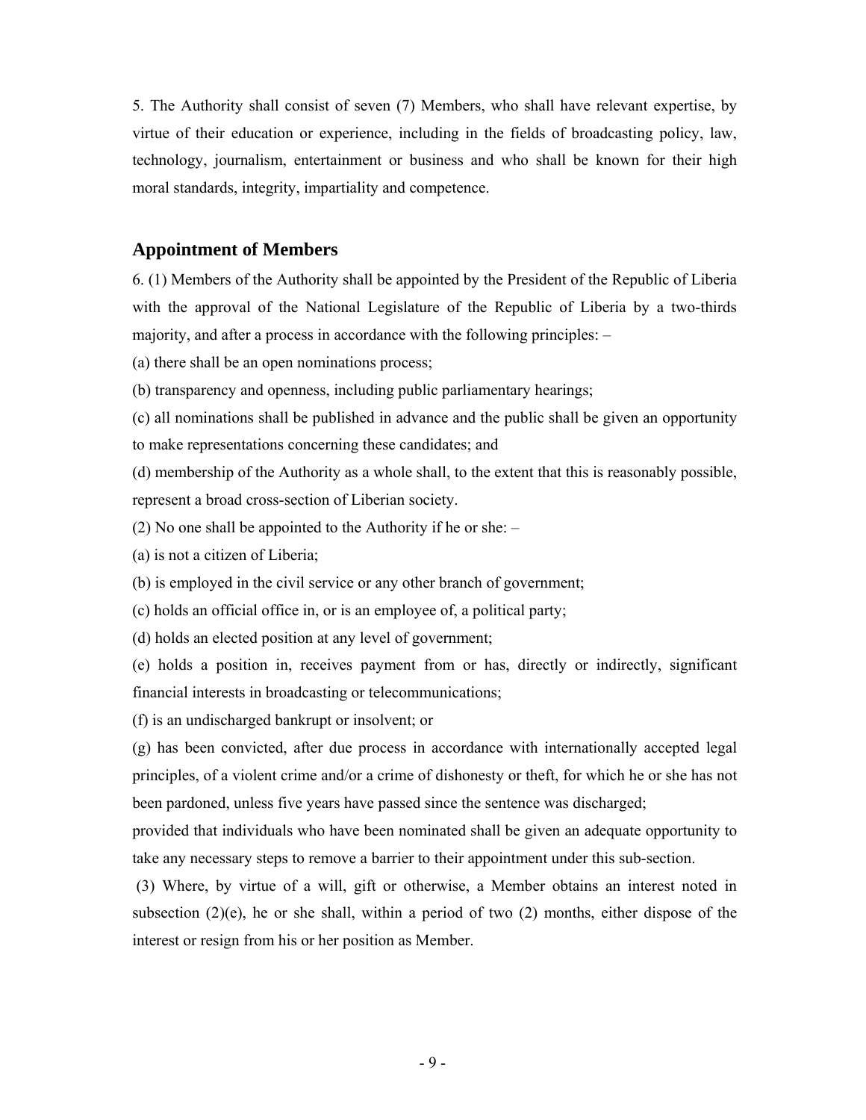5. The Authority shall consist of seven (7) Members, who shall have relevant expertise, by virtue of their education or experience, including in the fields of broadcasting policy, law, technology, journalism, entertainment or business and who shall be known for their high moral standards, integrity, impartiality and competence.

#### **Appointment of Members**

6. (1) Members of the Authority shall be appointed by the President of the Republic of Liberia with the approval of the National Legislature of the Republic of Liberia by a two-thirds majority, and after a process in accordance with the following principles: –

(a) there shall be an open nominations process;

- (b) transparency and openness, including public parliamentary hearings;
- (c) all nominations shall be published in advance and the public shall be given an opportunity to make representations concerning these candidates; and

(d) membership of the Authority as a whole shall, to the extent that this is reasonably possible, represent a broad cross-section of Liberian society.

- (2) No one shall be appointed to the Authority if he or she: –
- (a) is not a citizen of Liberia;
- (b) is employed in the civil service or any other branch of government;
- (c) holds an official office in, or is an employee of, a political party;
- (d) holds an elected position at any level of government;

(e) holds a position in, receives payment from or has, directly or indirectly, significant financial interests in broadcasting or telecommunications;

(f) is an undischarged bankrupt or insolvent; or

(g) has been convicted, after due process in accordance with internationally accepted legal principles, of a violent crime and/or a crime of dishonesty or theft, for which he or she has not been pardoned, unless five years have passed since the sentence was discharged;

provided that individuals who have been nominated shall be given an adequate opportunity to take any necessary steps to remove a barrier to their appointment under this sub-section.

 (3) Where, by virtue of a will, gift or otherwise, a Member obtains an interest noted in subsection  $(2)(e)$ , he or she shall, within a period of two  $(2)$  months, either dispose of the interest or resign from his or her position as Member.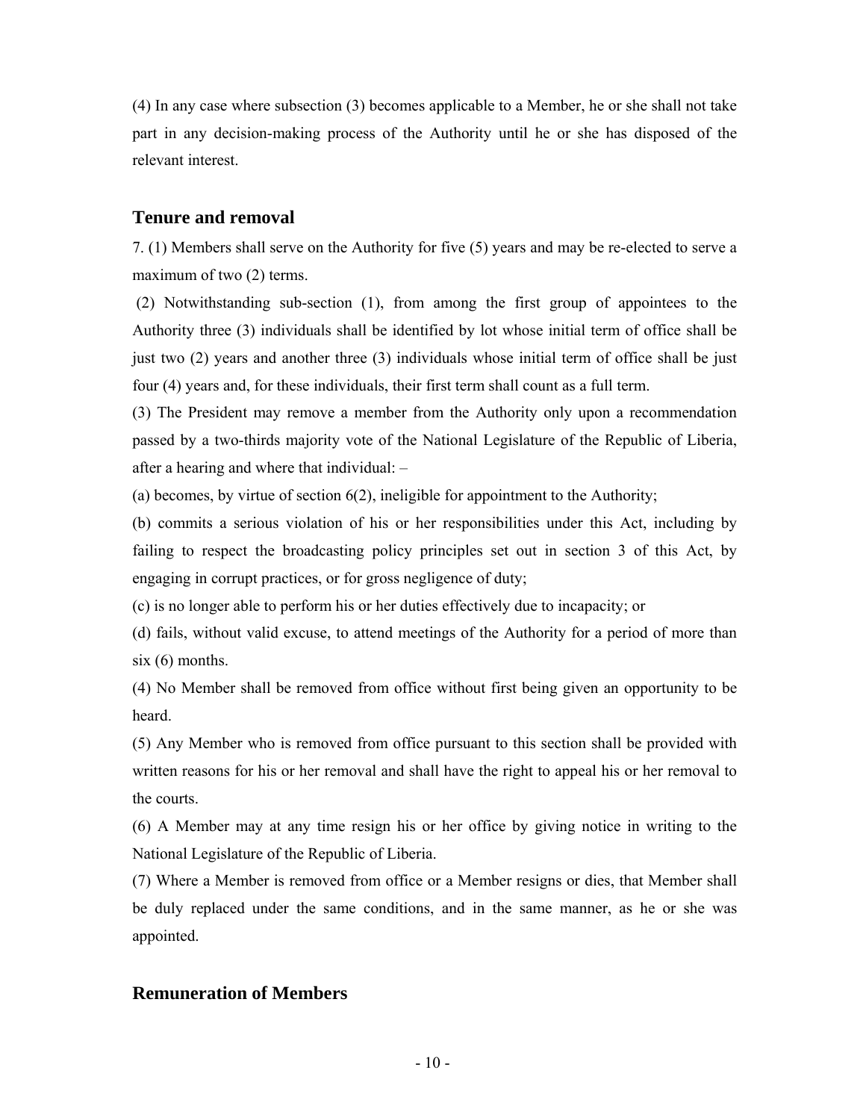(4) In any case where subsection (3) becomes applicable to a Member, he or she shall not take part in any decision-making process of the Authority until he or she has disposed of the relevant interest.

#### **Tenure and removal**

7. (1) Members shall serve on the Authority for five (5) years and may be re-elected to serve a maximum of two  $(2)$  terms.

 (2) Notwithstanding sub-section (1), from among the first group of appointees to the Authority three (3) individuals shall be identified by lot whose initial term of office shall be just two (2) years and another three (3) individuals whose initial term of office shall be just four (4) years and, for these individuals, their first term shall count as a full term.

(3) The President may remove a member from the Authority only upon a recommendation passed by a two-thirds majority vote of the National Legislature of the Republic of Liberia, after a hearing and where that individual: –

(a) becomes, by virtue of section 6(2), ineligible for appointment to the Authority;

(b) commits a serious violation of his or her responsibilities under this Act, including by failing to respect the broadcasting policy principles set out in section 3 of this Act, by engaging in corrupt practices, or for gross negligence of duty;

(c) is no longer able to perform his or her duties effectively due to incapacity; or

(d) fails, without valid excuse, to attend meetings of the Authority for a period of more than  $six(6)$  months.

(4) No Member shall be removed from office without first being given an opportunity to be heard.

(5) Any Member who is removed from office pursuant to this section shall be provided with written reasons for his or her removal and shall have the right to appeal his or her removal to the courts.

(6) A Member may at any time resign his or her office by giving notice in writing to the National Legislature of the Republic of Liberia.

(7) Where a Member is removed from office or a Member resigns or dies, that Member shall be duly replaced under the same conditions, and in the same manner, as he or she was appointed.

#### **Remuneration of Members**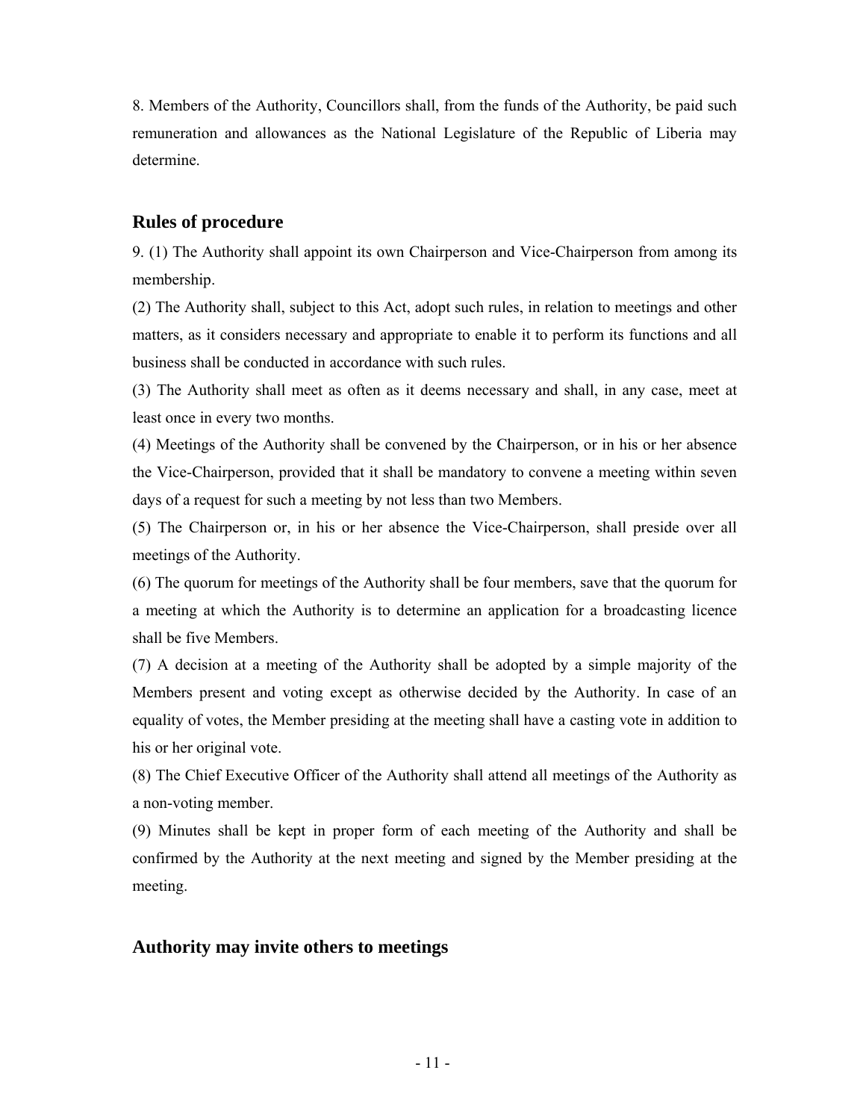8. Members of the Authority, Councillors shall, from the funds of the Authority, be paid such remuneration and allowances as the National Legislature of the Republic of Liberia may determine.

#### **Rules of procedure**

9. (1) The Authority shall appoint its own Chairperson and Vice-Chairperson from among its membership.

(2) The Authority shall, subject to this Act, adopt such rules, in relation to meetings and other matters, as it considers necessary and appropriate to enable it to perform its functions and all business shall be conducted in accordance with such rules.

(3) The Authority shall meet as often as it deems necessary and shall, in any case, meet at least once in every two months.

(4) Meetings of the Authority shall be convened by the Chairperson, or in his or her absence the Vice-Chairperson, provided that it shall be mandatory to convene a meeting within seven days of a request for such a meeting by not less than two Members.

(5) The Chairperson or, in his or her absence the Vice-Chairperson, shall preside over all meetings of the Authority.

(6) The quorum for meetings of the Authority shall be four members, save that the quorum for a meeting at which the Authority is to determine an application for a broadcasting licence shall be five Members.

(7) A decision at a meeting of the Authority shall be adopted by a simple majority of the Members present and voting except as otherwise decided by the Authority. In case of an equality of votes, the Member presiding at the meeting shall have a casting vote in addition to his or her original vote.

(8) The Chief Executive Officer of the Authority shall attend all meetings of the Authority as a non-voting member.

(9) Minutes shall be kept in proper form of each meeting of the Authority and shall be confirmed by the Authority at the next meeting and signed by the Member presiding at the meeting.

#### **Authority may invite others to meetings**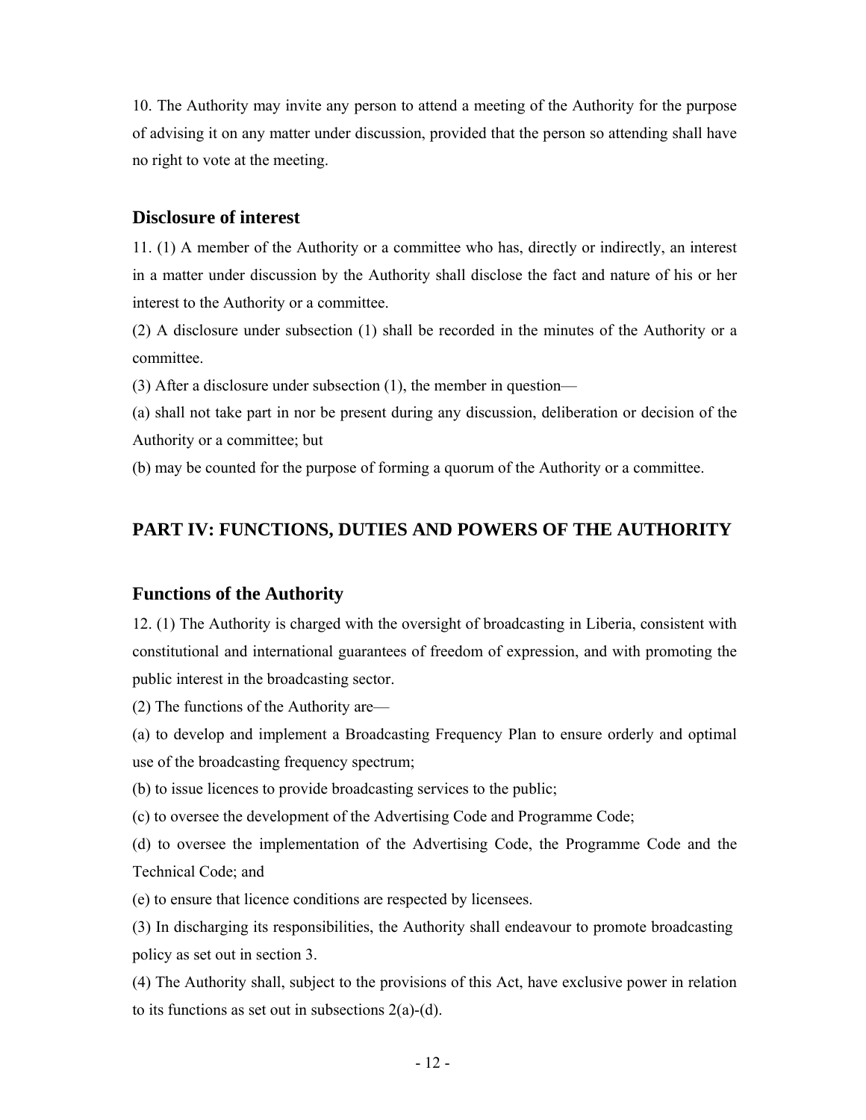10. The Authority may invite any person to attend a meeting of the Authority for the purpose of advising it on any matter under discussion, provided that the person so attending shall have no right to vote at the meeting.

#### **Disclosure of interest**

11. (1) A member of the Authority or a committee who has, directly or indirectly, an interest in a matter under discussion by the Authority shall disclose the fact and nature of his or her interest to the Authority or a committee.

(2) A disclosure under subsection (1) shall be recorded in the minutes of the Authority or a committee.

(3) After a disclosure under subsection (1), the member in question—

(a) shall not take part in nor be present during any discussion, deliberation or decision of the Authority or a committee; but

(b) may be counted for the purpose of forming a quorum of the Authority or a committee.

#### **PART IV: FUNCTIONS, DUTIES AND POWERS OF THE AUTHORITY**

#### **Functions of the Authority**

12. (1) The Authority is charged with the oversight of broadcasting in Liberia, consistent with constitutional and international guarantees of freedom of expression, and with promoting the public interest in the broadcasting sector.

(2) The functions of the Authority are—

(a) to develop and implement a Broadcasting Frequency Plan to ensure orderly and optimal use of the broadcasting frequency spectrum;

(b) to issue licences to provide broadcasting services to the public;

(c) to oversee the development of the Advertising Code and Programme Code;

(d) to oversee the implementation of the Advertising Code, the Programme Code and the Technical Code; and

(e) to ensure that licence conditions are respected by licensees.

(3) In discharging its responsibilities, the Authority shall endeavour to promote broadcasting policy as set out in section 3.

(4) The Authority shall, subject to the provisions of this Act, have exclusive power in relation to its functions as set out in subsections  $2(a)-(d)$ .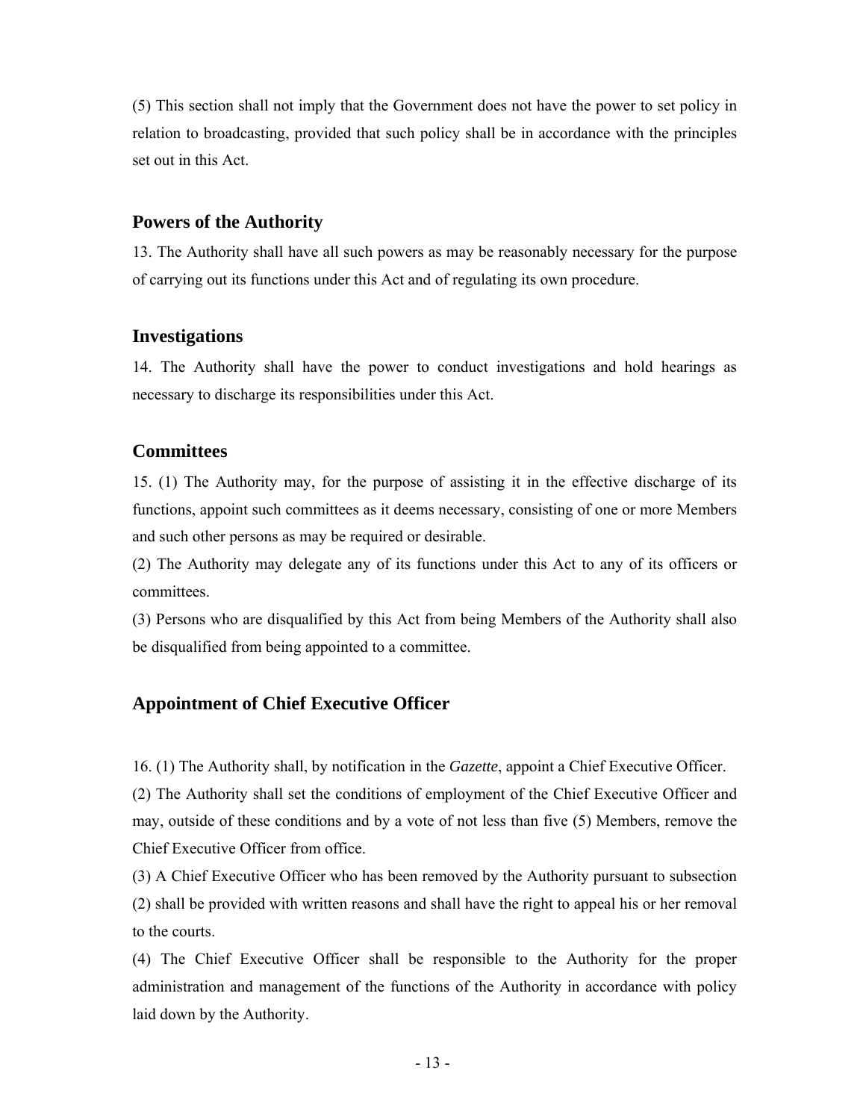(5) This section shall not imply that the Government does not have the power to set policy in relation to broadcasting, provided that such policy shall be in accordance with the principles set out in this Act.

#### **Powers of the Authority**

13. The Authority shall have all such powers as may be reasonably necessary for the purpose of carrying out its functions under this Act and of regulating its own procedure.

#### **Investigations**

14. The Authority shall have the power to conduct investigations and hold hearings as necessary to discharge its responsibilities under this Act.

#### **Committees**

15. (1) The Authority may, for the purpose of assisting it in the effective discharge of its functions, appoint such committees as it deems necessary, consisting of one or more Members and such other persons as may be required or desirable.

(2) The Authority may delegate any of its functions under this Act to any of its officers or committees.

(3) Persons who are disqualified by this Act from being Members of the Authority shall also be disqualified from being appointed to a committee.

## **Appointment of Chief Executive Officer**

16. (1) The Authority shall, by notification in the *Gazette*, appoint a Chief Executive Officer.

(2) The Authority shall set the conditions of employment of the Chief Executive Officer and may, outside of these conditions and by a vote of not less than five (5) Members, remove the Chief Executive Officer from office.

(3) A Chief Executive Officer who has been removed by the Authority pursuant to subsection (2) shall be provided with written reasons and shall have the right to appeal his or her removal to the courts.

(4) The Chief Executive Officer shall be responsible to the Authority for the proper administration and management of the functions of the Authority in accordance with policy laid down by the Authority.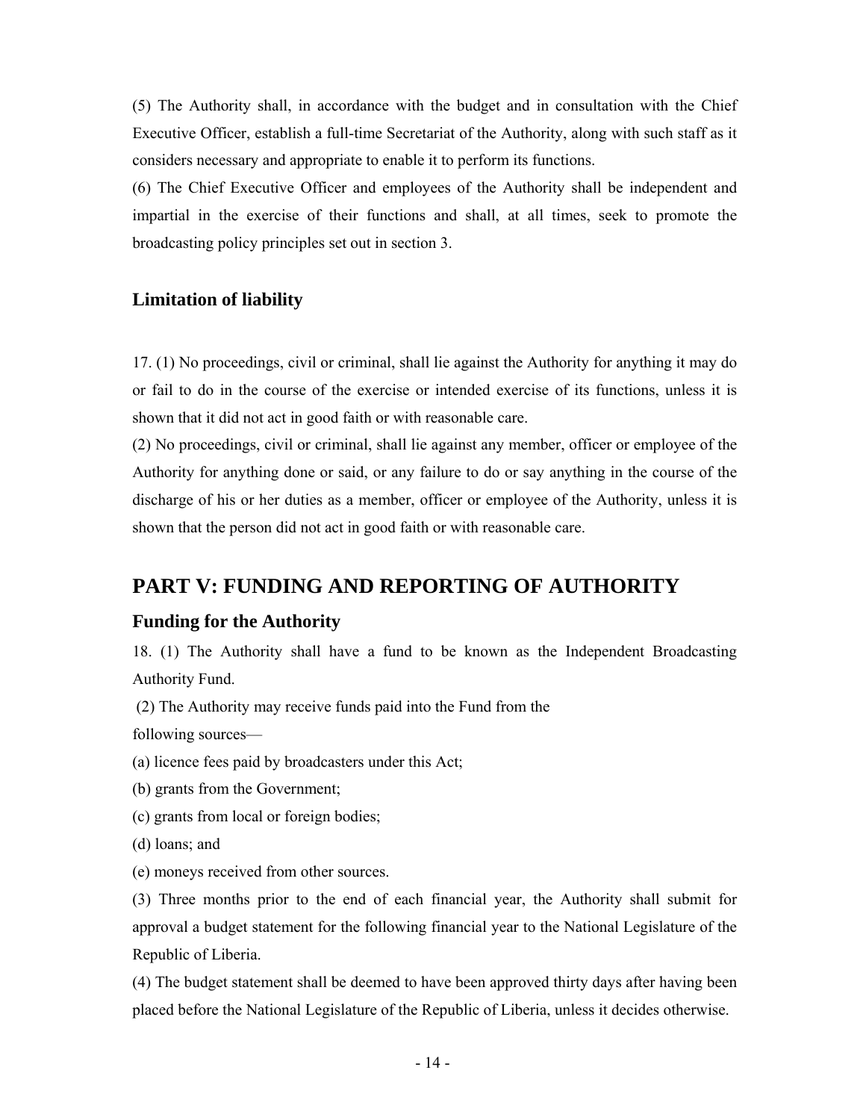(5) The Authority shall, in accordance with the budget and in consultation with the Chief Executive Officer, establish a full-time Secretariat of the Authority, along with such staff as it considers necessary and appropriate to enable it to perform its functions.

(6) The Chief Executive Officer and employees of the Authority shall be independent and impartial in the exercise of their functions and shall, at all times, seek to promote the broadcasting policy principles set out in section 3.

#### **Limitation of liability**

17. (1) No proceedings, civil or criminal, shall lie against the Authority for anything it may do or fail to do in the course of the exercise or intended exercise of its functions, unless it is shown that it did not act in good faith or with reasonable care.

(2) No proceedings, civil or criminal, shall lie against any member, officer or employee of the Authority for anything done or said, or any failure to do or say anything in the course of the discharge of his or her duties as a member, officer or employee of the Authority, unless it is shown that the person did not act in good faith or with reasonable care.

## **PART V: FUNDING AND REPORTING OF AUTHORITY**

#### **Funding for the Authority**

18. (1) The Authority shall have a fund to be known as the Independent Broadcasting Authority Fund.

(2) The Authority may receive funds paid into the Fund from the

following sources—

- (a) licence fees paid by broadcasters under this Act;
- (b) grants from the Government;
- (c) grants from local or foreign bodies;
- (d) loans; and
- (e) moneys received from other sources.

(3) Three months prior to the end of each financial year, the Authority shall submit for approval a budget statement for the following financial year to the National Legislature of the Republic of Liberia.

(4) The budget statement shall be deemed to have been approved thirty days after having been placed before the National Legislature of the Republic of Liberia, unless it decides otherwise.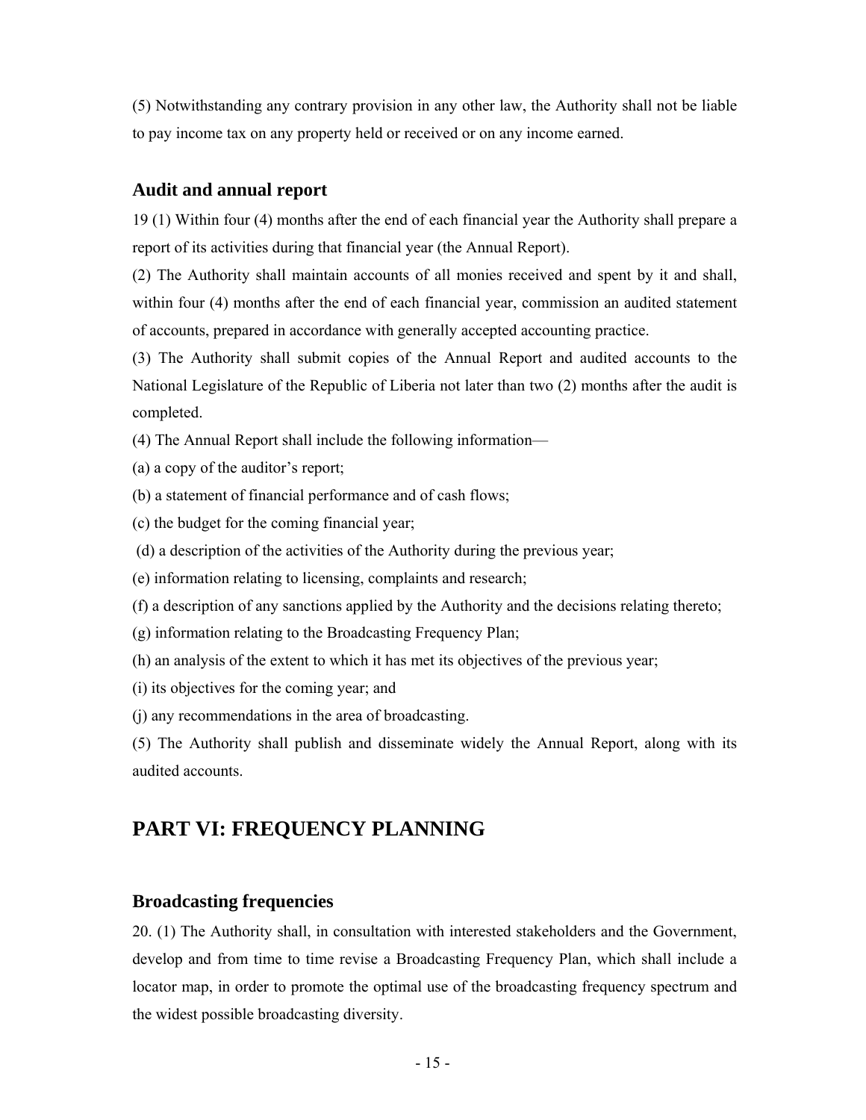(5) Notwithstanding any contrary provision in any other law, the Authority shall not be liable to pay income tax on any property held or received or on any income earned.

#### **Audit and annual report**

19 (1) Within four (4) months after the end of each financial year the Authority shall prepare a report of its activities during that financial year (the Annual Report).

(2) The Authority shall maintain accounts of all monies received and spent by it and shall, within four (4) months after the end of each financial year, commission an audited statement of accounts, prepared in accordance with generally accepted accounting practice.

(3) The Authority shall submit copies of the Annual Report and audited accounts to the National Legislature of the Republic of Liberia not later than two (2) months after the audit is completed.

- (4) The Annual Report shall include the following information—
- (a) a copy of the auditor's report;
- (b) a statement of financial performance and of cash flows;
- (c) the budget for the coming financial year;
- (d) a description of the activities of the Authority during the previous year;
- (e) information relating to licensing, complaints and research;
- (f) a description of any sanctions applied by the Authority and the decisions relating thereto;
- (g) information relating to the Broadcasting Frequency Plan;
- (h) an analysis of the extent to which it has met its objectives of the previous year;
- (i) its objectives for the coming year; and
- (j) any recommendations in the area of broadcasting.

(5) The Authority shall publish and disseminate widely the Annual Report, along with its audited accounts.

## **PART VI: FREQUENCY PLANNING**

#### **Broadcasting frequencies**

20. (1) The Authority shall, in consultation with interested stakeholders and the Government, develop and from time to time revise a Broadcasting Frequency Plan, which shall include a locator map, in order to promote the optimal use of the broadcasting frequency spectrum and the widest possible broadcasting diversity.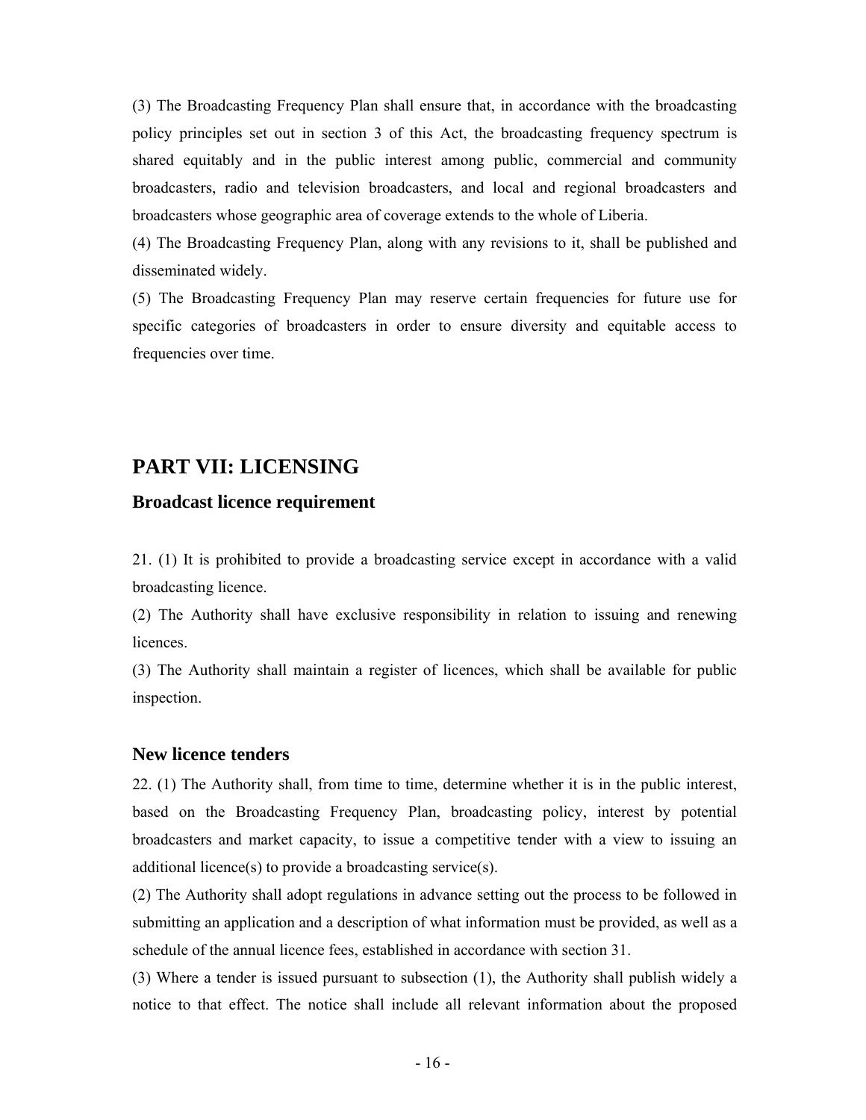(3) The Broadcasting Frequency Plan shall ensure that, in accordance with the broadcasting policy principles set out in section 3 of this Act, the broadcasting frequency spectrum is shared equitably and in the public interest among public, commercial and community broadcasters, radio and television broadcasters, and local and regional broadcasters and broadcasters whose geographic area of coverage extends to the whole of Liberia.

(4) The Broadcasting Frequency Plan, along with any revisions to it, shall be published and disseminated widely.

(5) The Broadcasting Frequency Plan may reserve certain frequencies for future use for specific categories of broadcasters in order to ensure diversity and equitable access to frequencies over time.

## **PART VII: LICENSING**

#### **Broadcast licence requirement**

21. (1) It is prohibited to provide a broadcasting service except in accordance with a valid broadcasting licence.

(2) The Authority shall have exclusive responsibility in relation to issuing and renewing licences.

(3) The Authority shall maintain a register of licences, which shall be available for public inspection.

#### **New licence tenders**

22. (1) The Authority shall, from time to time, determine whether it is in the public interest, based on the Broadcasting Frequency Plan, broadcasting policy, interest by potential broadcasters and market capacity, to issue a competitive tender with a view to issuing an additional licence(s) to provide a broadcasting service(s).

(2) The Authority shall adopt regulations in advance setting out the process to be followed in submitting an application and a description of what information must be provided, as well as a schedule of the annual licence fees, established in accordance with section 31.

(3) Where a tender is issued pursuant to subsection (1), the Authority shall publish widely a notice to that effect. The notice shall include all relevant information about the proposed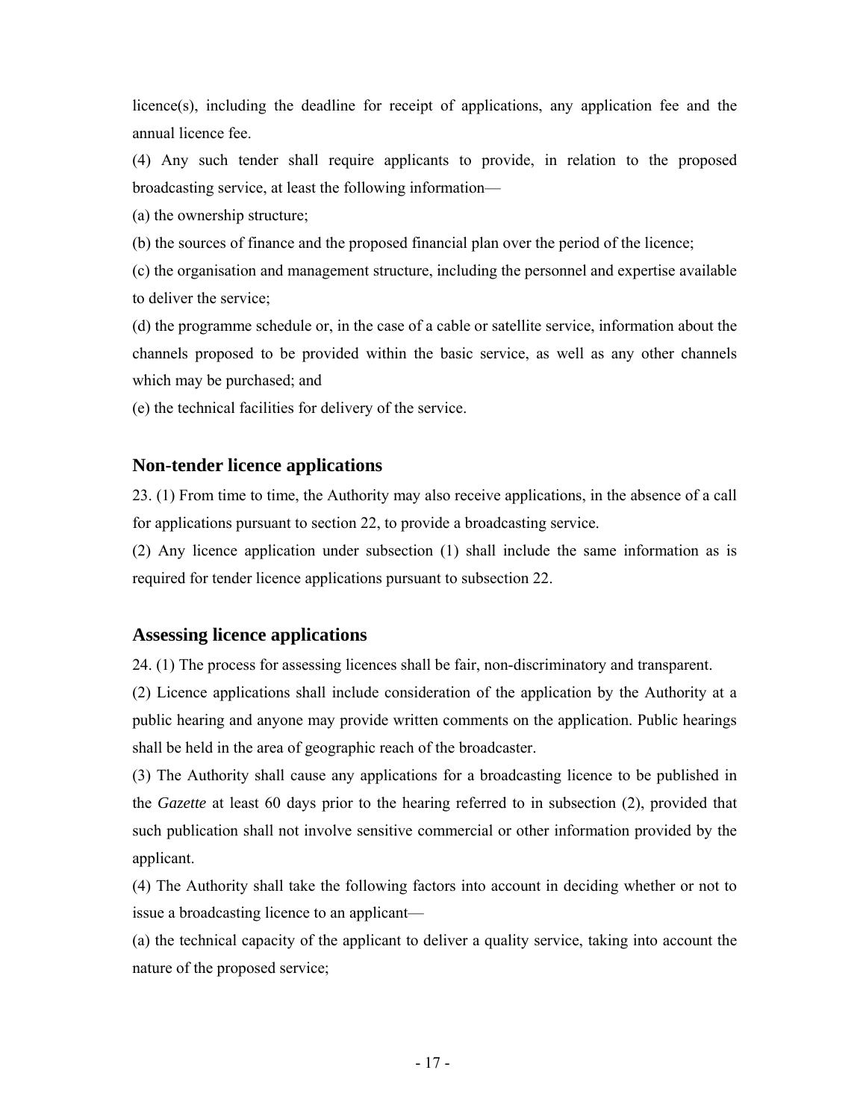licence(s), including the deadline for receipt of applications, any application fee and the annual licence fee.

(4) Any such tender shall require applicants to provide, in relation to the proposed broadcasting service, at least the following information—

(a) the ownership structure;

(b) the sources of finance and the proposed financial plan over the period of the licence;

(c) the organisation and management structure, including the personnel and expertise available to deliver the service;

(d) the programme schedule or, in the case of a cable or satellite service, information about the channels proposed to be provided within the basic service, as well as any other channels which may be purchased; and

(e) the technical facilities for delivery of the service.

## **Non-tender licence applications**

23. (1) From time to time, the Authority may also receive applications, in the absence of a call for applications pursuant to section 22, to provide a broadcasting service.

(2) Any licence application under subsection (1) shall include the same information as is required for tender licence applications pursuant to subsection 22.

## **Assessing licence applications**

24. (1) The process for assessing licences shall be fair, non-discriminatory and transparent.

(2) Licence applications shall include consideration of the application by the Authority at a public hearing and anyone may provide written comments on the application. Public hearings shall be held in the area of geographic reach of the broadcaster.

(3) The Authority shall cause any applications for a broadcasting licence to be published in the *Gazette* at least 60 days prior to the hearing referred to in subsection (2), provided that such publication shall not involve sensitive commercial or other information provided by the applicant.

(4) The Authority shall take the following factors into account in deciding whether or not to issue a broadcasting licence to an applicant—

(a) the technical capacity of the applicant to deliver a quality service, taking into account the nature of the proposed service;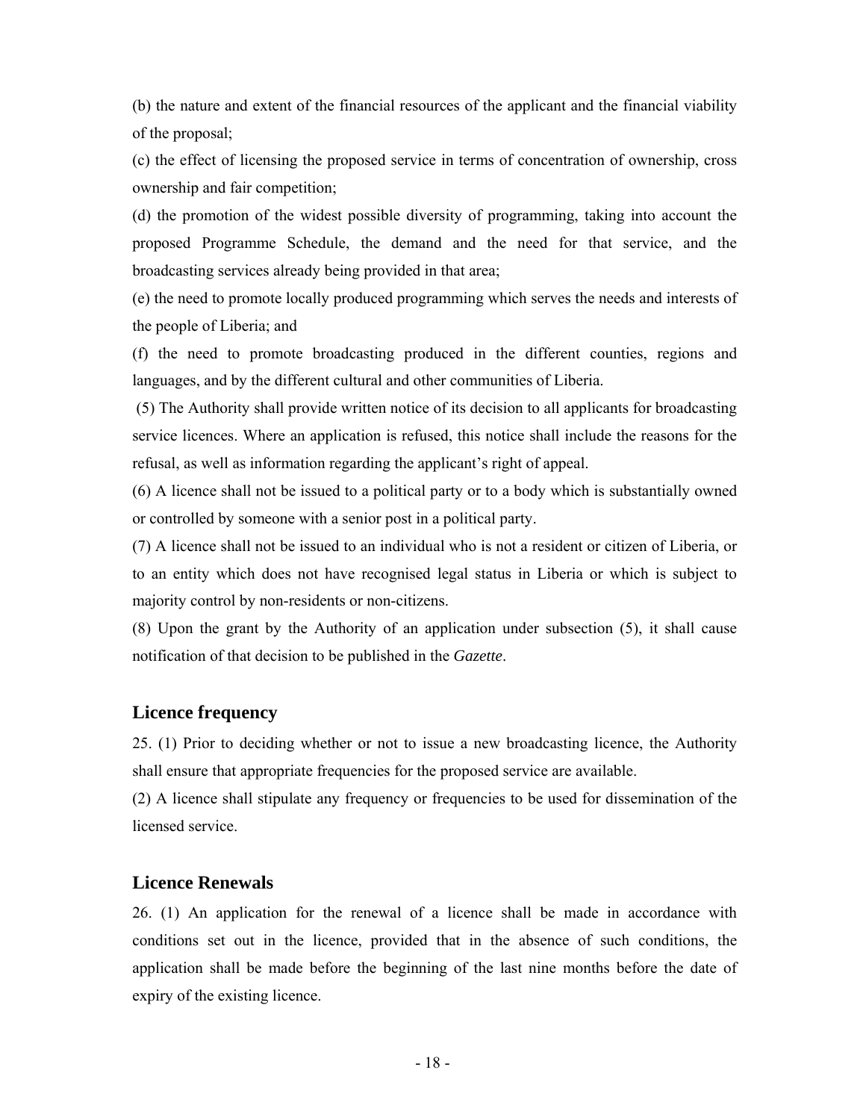(b) the nature and extent of the financial resources of the applicant and the financial viability of the proposal;

(c) the effect of licensing the proposed service in terms of concentration of ownership, cross ownership and fair competition;

(d) the promotion of the widest possible diversity of programming, taking into account the proposed Programme Schedule, the demand and the need for that service, and the broadcasting services already being provided in that area;

(e) the need to promote locally produced programming which serves the needs and interests of the people of Liberia; and

(f) the need to promote broadcasting produced in the different counties, regions and languages, and by the different cultural and other communities of Liberia.

 (5) The Authority shall provide written notice of its decision to all applicants for broadcasting service licences. Where an application is refused, this notice shall include the reasons for the refusal, as well as information regarding the applicant's right of appeal.

(6) A licence shall not be issued to a political party or to a body which is substantially owned or controlled by someone with a senior post in a political party.

(7) A licence shall not be issued to an individual who is not a resident or citizen of Liberia, or to an entity which does not have recognised legal status in Liberia or which is subject to majority control by non-residents or non-citizens.

(8) Upon the grant by the Authority of an application under subsection (5), it shall cause notification of that decision to be published in the *Gazette*.

## **Licence frequency**

25. (1) Prior to deciding whether or not to issue a new broadcasting licence, the Authority shall ensure that appropriate frequencies for the proposed service are available.

(2) A licence shall stipulate any frequency or frequencies to be used for dissemination of the licensed service.

#### **Licence Renewals**

26. (1) An application for the renewal of a licence shall be made in accordance with conditions set out in the licence, provided that in the absence of such conditions, the application shall be made before the beginning of the last nine months before the date of expiry of the existing licence.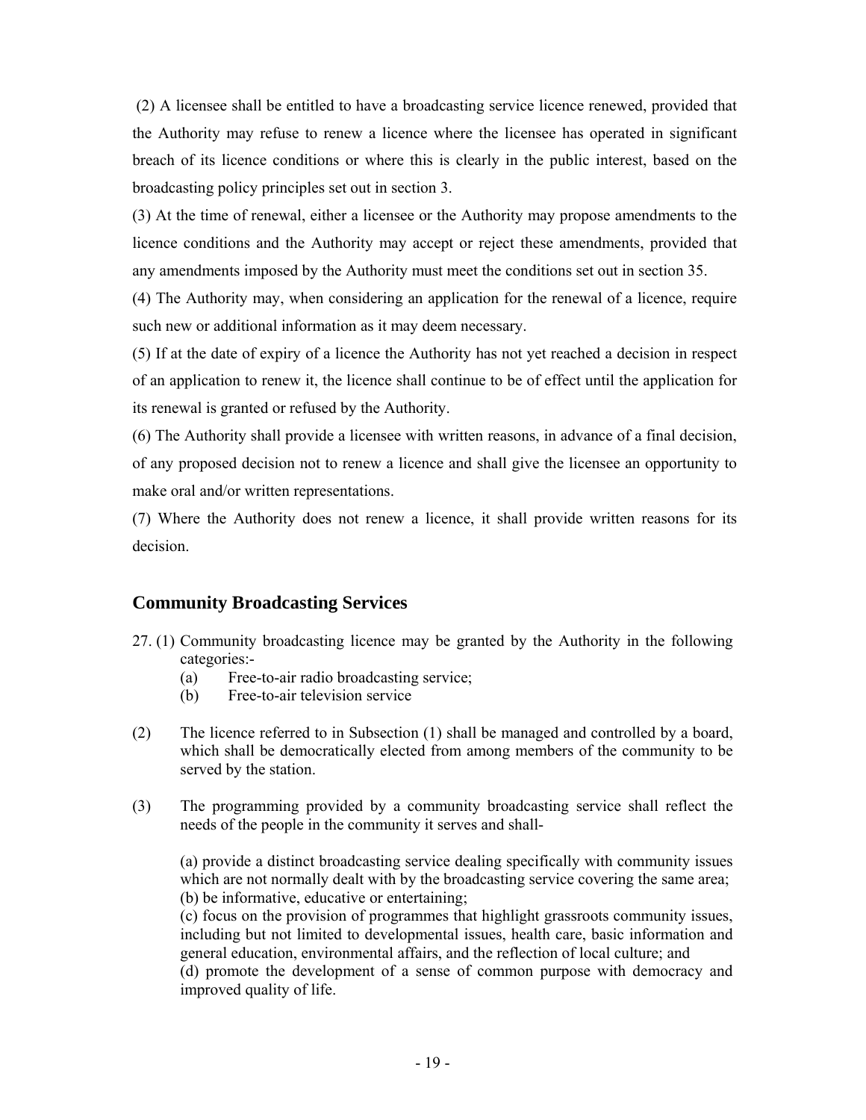(2) A licensee shall be entitled to have a broadcasting service licence renewed, provided that the Authority may refuse to renew a licence where the licensee has operated in significant breach of its licence conditions or where this is clearly in the public interest, based on the broadcasting policy principles set out in section 3.

(3) At the time of renewal, either a licensee or the Authority may propose amendments to the licence conditions and the Authority may accept or reject these amendments, provided that any amendments imposed by the Authority must meet the conditions set out in section 35.

(4) The Authority may, when considering an application for the renewal of a licence, require such new or additional information as it may deem necessary.

(5) If at the date of expiry of a licence the Authority has not yet reached a decision in respect of an application to renew it, the licence shall continue to be of effect until the application for its renewal is granted or refused by the Authority.

(6) The Authority shall provide a licensee with written reasons, in advance of a final decision, of any proposed decision not to renew a licence and shall give the licensee an opportunity to make oral and/or written representations.

(7) Where the Authority does not renew a licence, it shall provide written reasons for its decision.

## **Community Broadcasting Services**

- 27. (1) Community broadcasting licence may be granted by the Authority in the following categories:-
	- (a) Free-to-air radio broadcasting service;
	- (b) Free-to-air television service
- (2) The licence referred to in Subsection (1) shall be managed and controlled by a board, which shall be democratically elected from among members of the community to be served by the station.
- (3) The programming provided by a community broadcasting service shall reflect the needs of the people in the community it serves and shall-

(a) provide a distinct broadcasting service dealing specifically with community issues which are not normally dealt with by the broadcasting service covering the same area; (b) be informative, educative or entertaining;

 (c) focus on the provision of programmes that highlight grassroots community issues, including but not limited to developmental issues, health care, basic information and general education, environmental affairs, and the reflection of local culture; and

 (d) promote the development of a sense of common purpose with democracy and improved quality of life.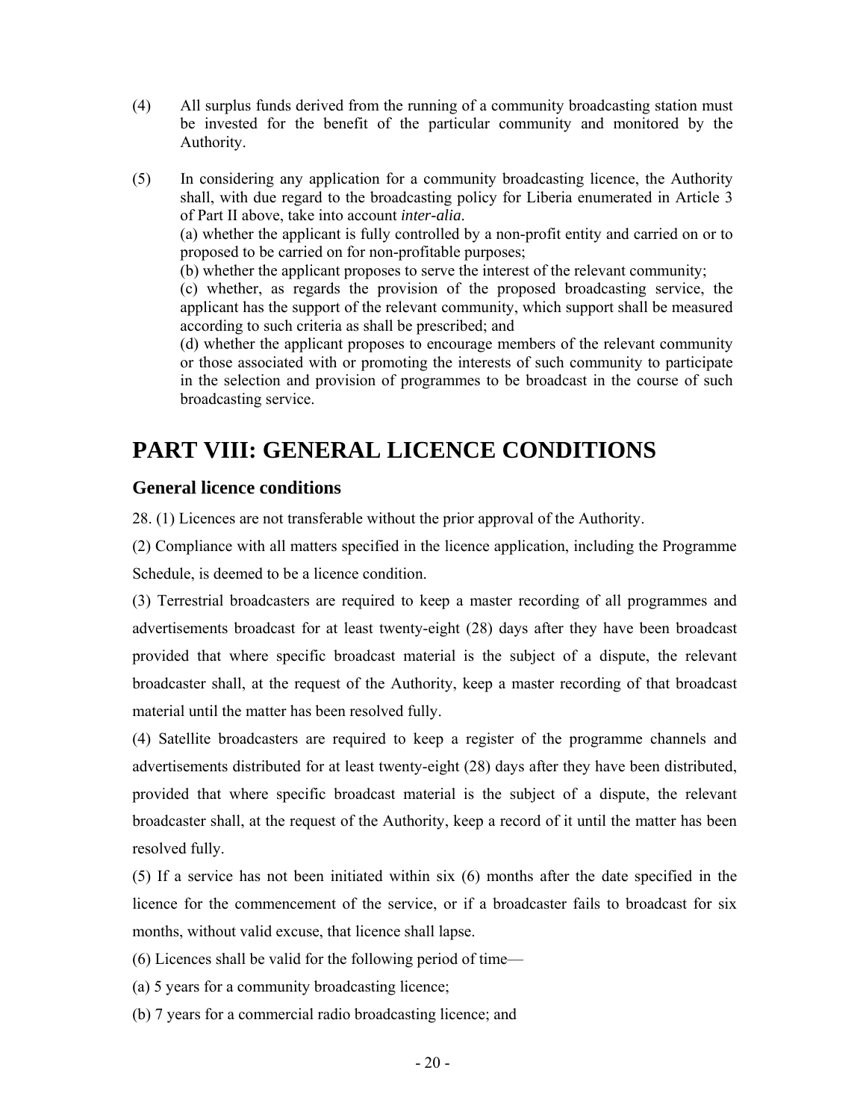- (4) All surplus funds derived from the running of a community broadcasting station must be invested for the benefit of the particular community and monitored by the Authority.
- (5) In considering any application for a community broadcasting licence, the Authority shall, with due regard to the broadcasting policy for Liberia enumerated in Article 3 of Part II above, take into account *inter-alia*. (a) whether the applicant is fully controlled by a non-profit entity and carried on or to proposed to be carried on for non-profitable purposes; (b) whether the applicant proposes to serve the interest of the relevant community; (c) whether, as regards the provision of the proposed broadcasting service, the applicant has the support of the relevant community, which support shall be measured according to such criteria as shall be prescribed; and (d) whether the applicant proposes to encourage members of the relevant community

or those associated with or promoting the interests of such community to participate in the selection and provision of programmes to be broadcast in the course of such broadcasting service.

# **PART VIII: GENERAL LICENCE CONDITIONS**

## **General licence conditions**

28. (1) Licences are not transferable without the prior approval of the Authority.

(2) Compliance with all matters specified in the licence application, including the Programme Schedule, is deemed to be a licence condition.

(3) Terrestrial broadcasters are required to keep a master recording of all programmes and advertisements broadcast for at least twenty-eight (28) days after they have been broadcast provided that where specific broadcast material is the subject of a dispute, the relevant broadcaster shall, at the request of the Authority, keep a master recording of that broadcast material until the matter has been resolved fully.

(4) Satellite broadcasters are required to keep a register of the programme channels and advertisements distributed for at least twenty-eight (28) days after they have been distributed, provided that where specific broadcast material is the subject of a dispute, the relevant broadcaster shall, at the request of the Authority, keep a record of it until the matter has been resolved fully.

(5) If a service has not been initiated within six (6) months after the date specified in the licence for the commencement of the service, or if a broadcaster fails to broadcast for six months, without valid excuse, that licence shall lapse.

(6) Licences shall be valid for the following period of time—

(a) 5 years for a community broadcasting licence;

(b) 7 years for a commercial radio broadcasting licence; and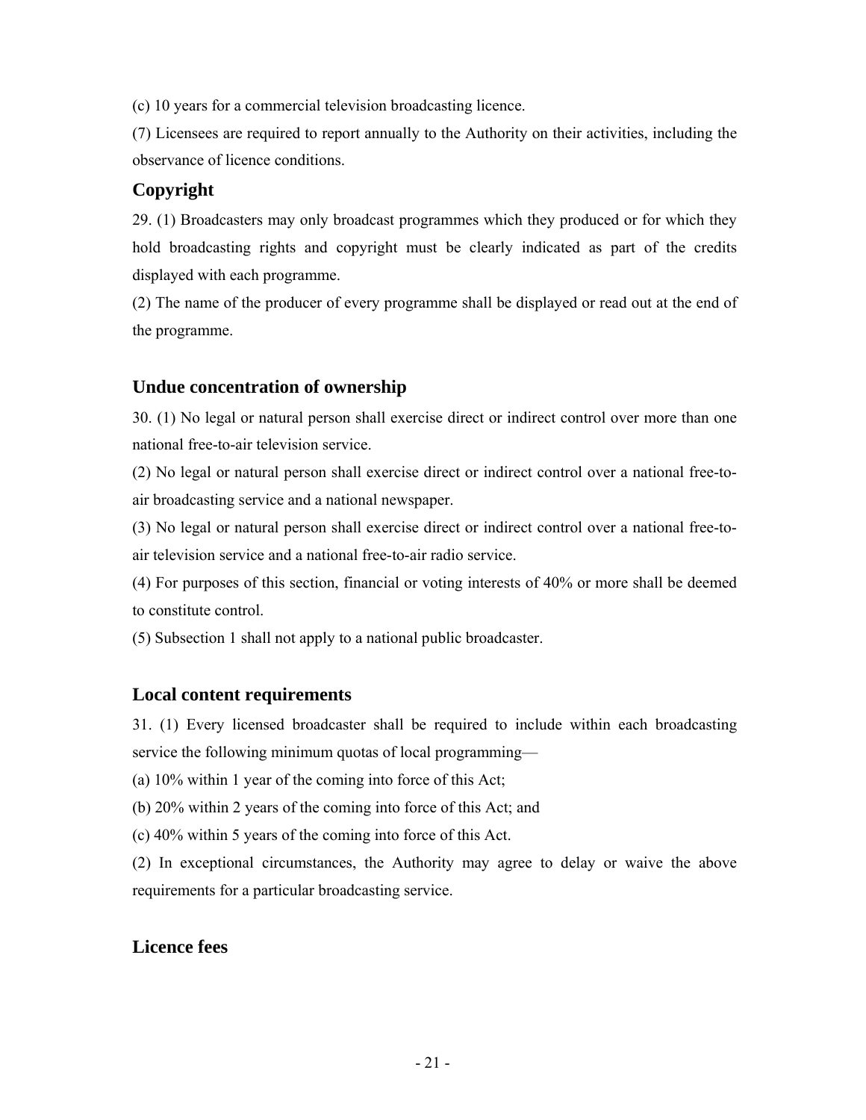(c) 10 years for a commercial television broadcasting licence.

(7) Licensees are required to report annually to the Authority on their activities, including the observance of licence conditions.

## **Copyright**

29. (1) Broadcasters may only broadcast programmes which they produced or for which they hold broadcasting rights and copyright must be clearly indicated as part of the credits displayed with each programme.

(2) The name of the producer of every programme shall be displayed or read out at the end of the programme.

## **Undue concentration of ownership**

30. (1) No legal or natural person shall exercise direct or indirect control over more than one national free-to-air television service.

(2) No legal or natural person shall exercise direct or indirect control over a national free-toair broadcasting service and a national newspaper.

(3) No legal or natural person shall exercise direct or indirect control over a national free-toair television service and a national free-to-air radio service.

(4) For purposes of this section, financial or voting interests of 40% or more shall be deemed to constitute control.

(5) Subsection 1 shall not apply to a national public broadcaster.

## **Local content requirements**

31. (1) Every licensed broadcaster shall be required to include within each broadcasting service the following minimum quotas of local programming—

(a) 10% within 1 year of the coming into force of this Act;

(b) 20% within 2 years of the coming into force of this Act; and

(c) 40% within 5 years of the coming into force of this Act.

(2) In exceptional circumstances, the Authority may agree to delay or waive the above requirements for a particular broadcasting service.

## **Licence fees**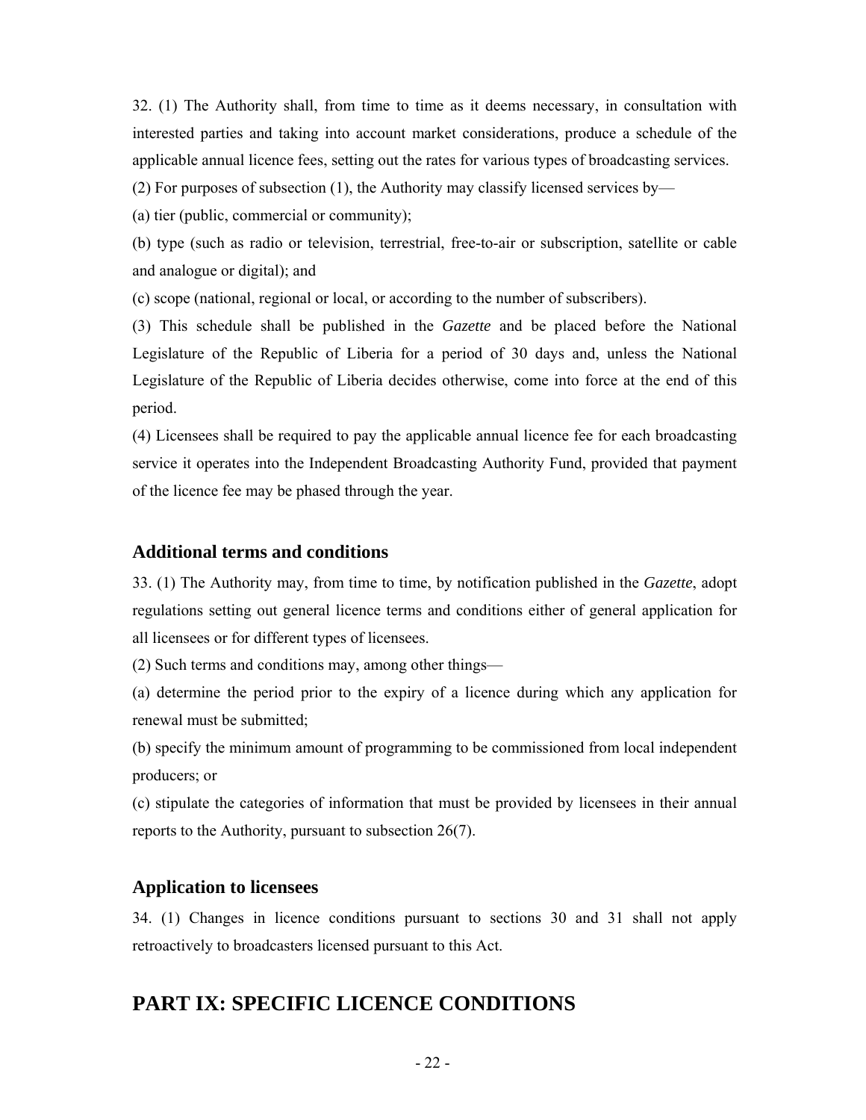32. (1) The Authority shall, from time to time as it deems necessary, in consultation with interested parties and taking into account market considerations, produce a schedule of the applicable annual licence fees, setting out the rates for various types of broadcasting services.

(2) For purposes of subsection (1), the Authority may classify licensed services by—

(a) tier (public, commercial or community);

(b) type (such as radio or television, terrestrial, free-to-air or subscription, satellite or cable and analogue or digital); and

(c) scope (national, regional or local, or according to the number of subscribers).

(3) This schedule shall be published in the *Gazette* and be placed before the National Legislature of the Republic of Liberia for a period of 30 days and, unless the National Legislature of the Republic of Liberia decides otherwise, come into force at the end of this period.

(4) Licensees shall be required to pay the applicable annual licence fee for each broadcasting service it operates into the Independent Broadcasting Authority Fund, provided that payment of the licence fee may be phased through the year.

#### **Additional terms and conditions**

33. (1) The Authority may, from time to time, by notification published in the *Gazette*, adopt regulations setting out general licence terms and conditions either of general application for all licensees or for different types of licensees.

(2) Such terms and conditions may, among other things—

(a) determine the period prior to the expiry of a licence during which any application for renewal must be submitted;

(b) specify the minimum amount of programming to be commissioned from local independent producers; or

(c) stipulate the categories of information that must be provided by licensees in their annual reports to the Authority, pursuant to subsection 26(7).

## **Application to licensees**

34. (1) Changes in licence conditions pursuant to sections 30 and 31 shall not apply retroactively to broadcasters licensed pursuant to this Act.

# **PART IX: SPECIFIC LICENCE CONDITIONS**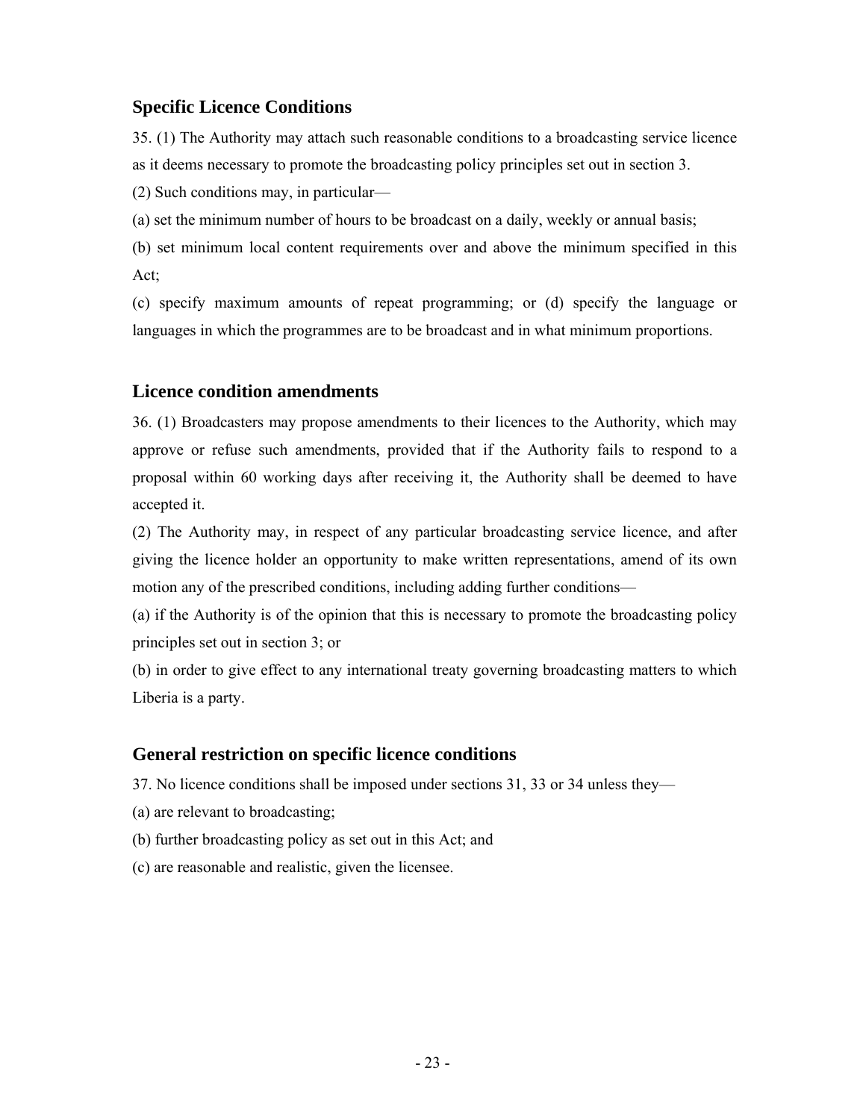#### **Specific Licence Conditions**

35. (1) The Authority may attach such reasonable conditions to a broadcasting service licence as it deems necessary to promote the broadcasting policy principles set out in section 3.

(2) Such conditions may, in particular—

(a) set the minimum number of hours to be broadcast on a daily, weekly or annual basis;

(b) set minimum local content requirements over and above the minimum specified in this Act;

(c) specify maximum amounts of repeat programming; or (d) specify the language or languages in which the programmes are to be broadcast and in what minimum proportions.

## **Licence condition amendments**

36. (1) Broadcasters may propose amendments to their licences to the Authority, which may approve or refuse such amendments, provided that if the Authority fails to respond to a proposal within 60 working days after receiving it, the Authority shall be deemed to have accepted it.

(2) The Authority may, in respect of any particular broadcasting service licence, and after giving the licence holder an opportunity to make written representations, amend of its own motion any of the prescribed conditions, including adding further conditions—

(a) if the Authority is of the opinion that this is necessary to promote the broadcasting policy principles set out in section 3; or

(b) in order to give effect to any international treaty governing broadcasting matters to which Liberia is a party.

#### **General restriction on specific licence conditions**

37. No licence conditions shall be imposed under sections 31, 33 or 34 unless they—

- (a) are relevant to broadcasting;
- (b) further broadcasting policy as set out in this Act; and
- (c) are reasonable and realistic, given the licensee.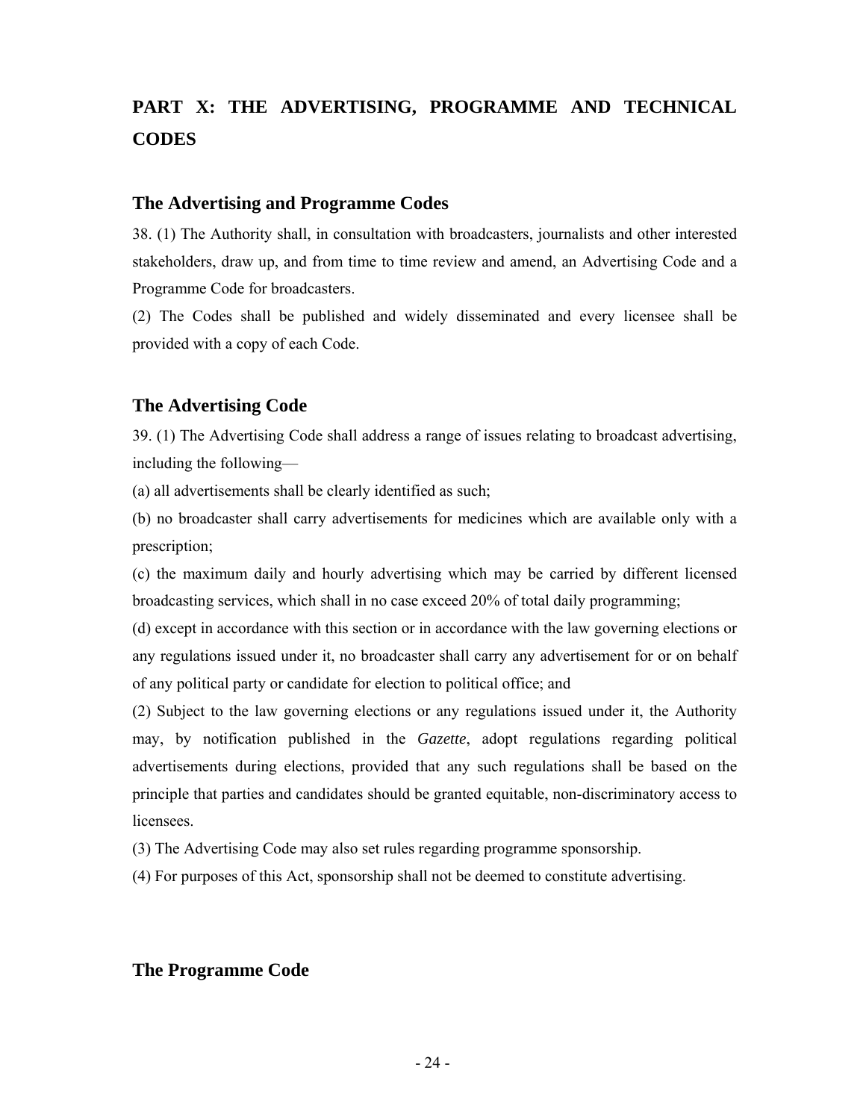# **PART X: THE ADVERTISING, PROGRAMME AND TECHNICAL CODES**

#### **The Advertising and Programme Codes**

38. (1) The Authority shall, in consultation with broadcasters, journalists and other interested stakeholders, draw up, and from time to time review and amend, an Advertising Code and a Programme Code for broadcasters.

(2) The Codes shall be published and widely disseminated and every licensee shall be provided with a copy of each Code.

#### **The Advertising Code**

39. (1) The Advertising Code shall address a range of issues relating to broadcast advertising, including the following—

(a) all advertisements shall be clearly identified as such;

(b) no broadcaster shall carry advertisements for medicines which are available only with a prescription;

(c) the maximum daily and hourly advertising which may be carried by different licensed broadcasting services, which shall in no case exceed 20% of total daily programming;

(d) except in accordance with this section or in accordance with the law governing elections or any regulations issued under it, no broadcaster shall carry any advertisement for or on behalf of any political party or candidate for election to political office; and

(2) Subject to the law governing elections or any regulations issued under it, the Authority may, by notification published in the *Gazette*, adopt regulations regarding political advertisements during elections, provided that any such regulations shall be based on the principle that parties and candidates should be granted equitable, non-discriminatory access to licensees.

(3) The Advertising Code may also set rules regarding programme sponsorship.

(4) For purposes of this Act, sponsorship shall not be deemed to constitute advertising.

#### **The Programme Code**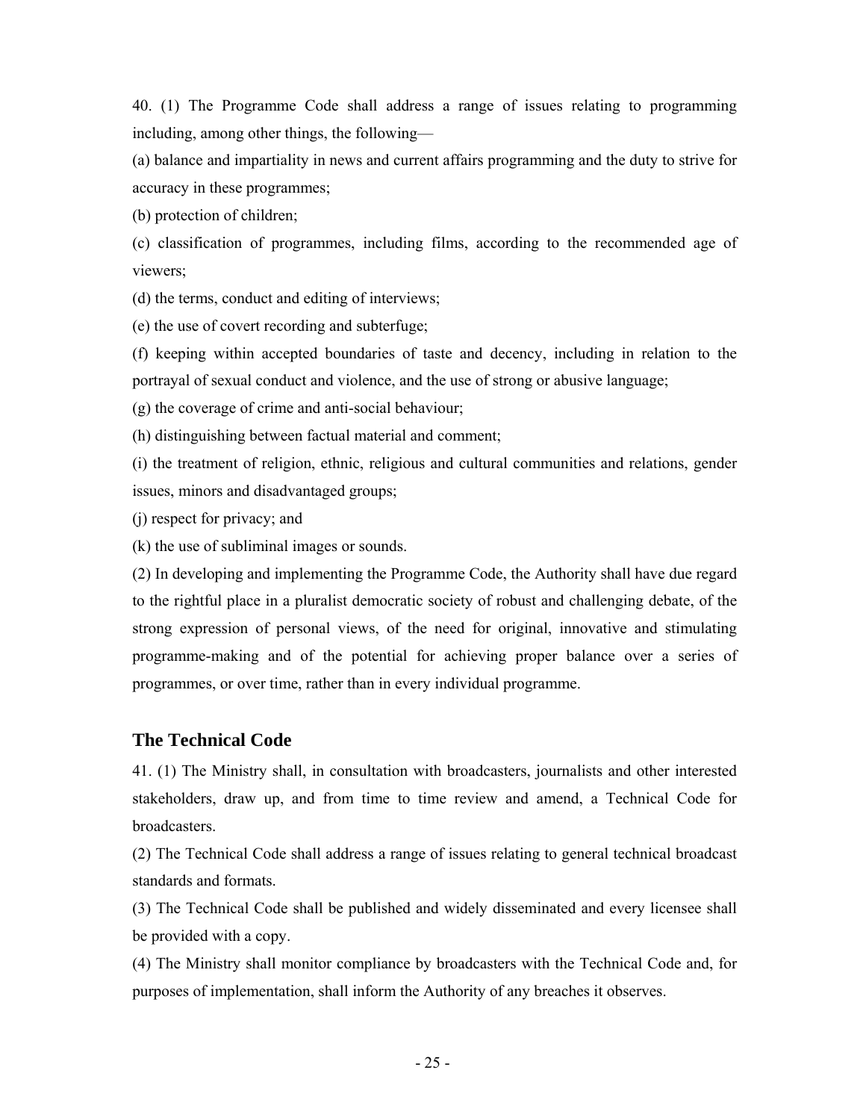40. (1) The Programme Code shall address a range of issues relating to programming including, among other things, the following—

(a) balance and impartiality in news and current affairs programming and the duty to strive for accuracy in these programmes;

(b) protection of children;

(c) classification of programmes, including films, according to the recommended age of viewers;

(d) the terms, conduct and editing of interviews;

(e) the use of covert recording and subterfuge;

(f) keeping within accepted boundaries of taste and decency, including in relation to the portrayal of sexual conduct and violence, and the use of strong or abusive language;

(g) the coverage of crime and anti-social behaviour;

(h) distinguishing between factual material and comment;

(i) the treatment of religion, ethnic, religious and cultural communities and relations, gender issues, minors and disadvantaged groups;

(j) respect for privacy; and

(k) the use of subliminal images or sounds.

(2) In developing and implementing the Programme Code, the Authority shall have due regard to the rightful place in a pluralist democratic society of robust and challenging debate, of the strong expression of personal views, of the need for original, innovative and stimulating programme-making and of the potential for achieving proper balance over a series of programmes, or over time, rather than in every individual programme.

## **The Technical Code**

41. (1) The Ministry shall, in consultation with broadcasters, journalists and other interested stakeholders, draw up, and from time to time review and amend, a Technical Code for broadcasters.

(2) The Technical Code shall address a range of issues relating to general technical broadcast standards and formats.

(3) The Technical Code shall be published and widely disseminated and every licensee shall be provided with a copy.

(4) The Ministry shall monitor compliance by broadcasters with the Technical Code and, for purposes of implementation, shall inform the Authority of any breaches it observes.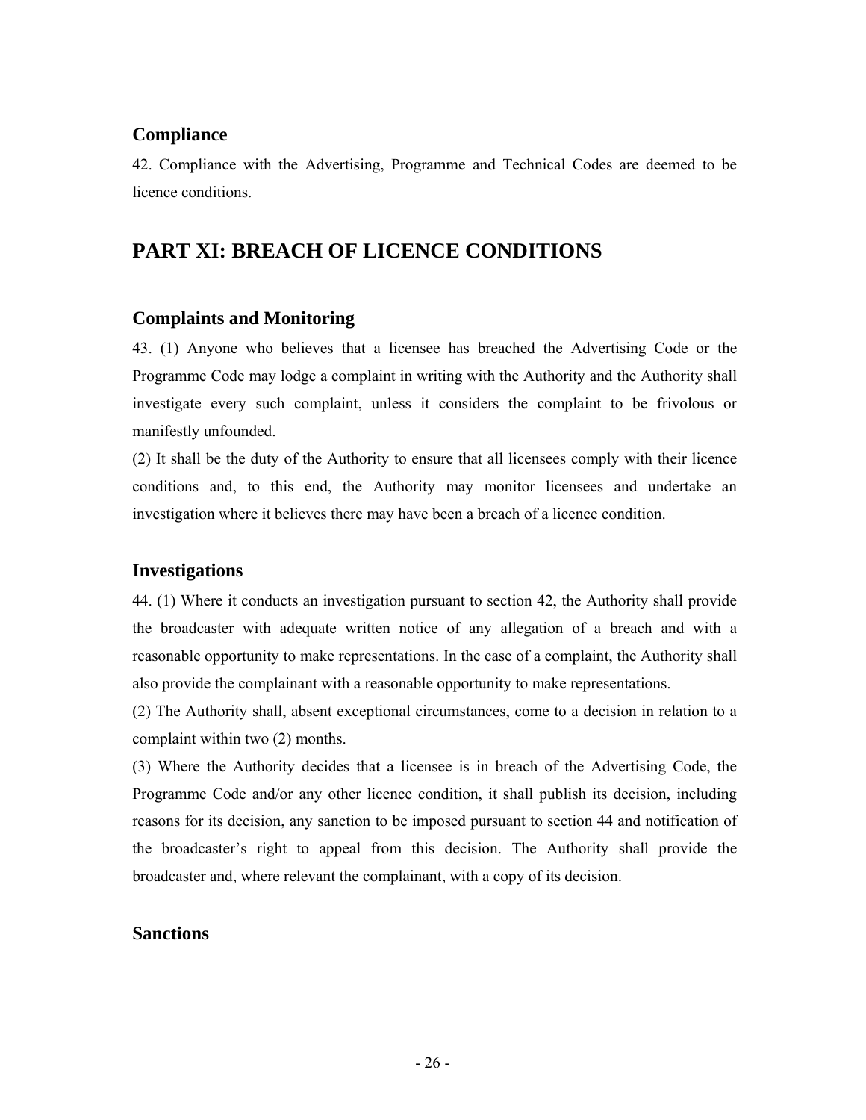#### **Compliance**

42. Compliance with the Advertising, Programme and Technical Codes are deemed to be licence conditions.

# **PART XI: BREACH OF LICENCE CONDITIONS**

#### **Complaints and Monitoring**

43. (1) Anyone who believes that a licensee has breached the Advertising Code or the Programme Code may lodge a complaint in writing with the Authority and the Authority shall investigate every such complaint, unless it considers the complaint to be frivolous or manifestly unfounded.

(2) It shall be the duty of the Authority to ensure that all licensees comply with their licence conditions and, to this end, the Authority may monitor licensees and undertake an investigation where it believes there may have been a breach of a licence condition.

#### **Investigations**

44. (1) Where it conducts an investigation pursuant to section 42, the Authority shall provide the broadcaster with adequate written notice of any allegation of a breach and with a reasonable opportunity to make representations. In the case of a complaint, the Authority shall also provide the complainant with a reasonable opportunity to make representations.

(2) The Authority shall, absent exceptional circumstances, come to a decision in relation to a complaint within two (2) months.

(3) Where the Authority decides that a licensee is in breach of the Advertising Code, the Programme Code and/or any other licence condition, it shall publish its decision, including reasons for its decision, any sanction to be imposed pursuant to section 44 and notification of the broadcaster's right to appeal from this decision. The Authority shall provide the broadcaster and, where relevant the complainant, with a copy of its decision.

#### **Sanctions**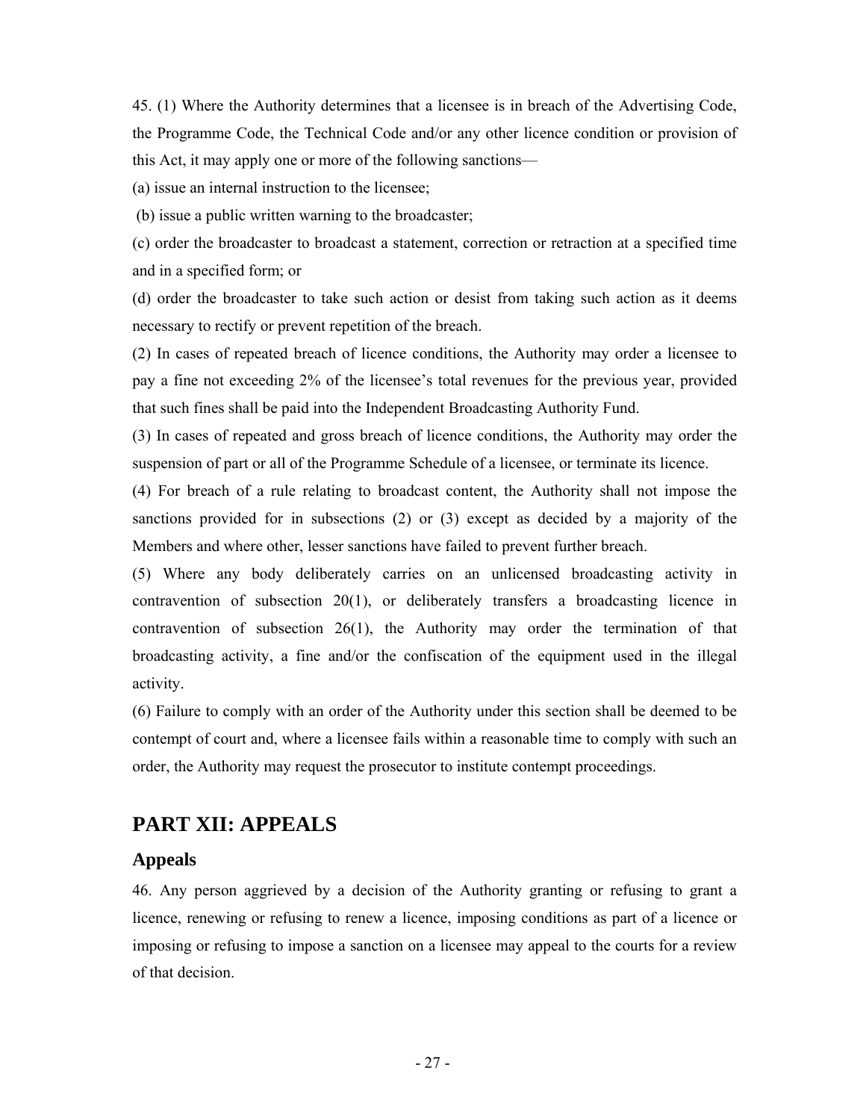45. (1) Where the Authority determines that a licensee is in breach of the Advertising Code, the Programme Code, the Technical Code and/or any other licence condition or provision of this Act, it may apply one or more of the following sanctions—

(a) issue an internal instruction to the licensee;

(b) issue a public written warning to the broadcaster;

(c) order the broadcaster to broadcast a statement, correction or retraction at a specified time and in a specified form; or

(d) order the broadcaster to take such action or desist from taking such action as it deems necessary to rectify or prevent repetition of the breach.

(2) In cases of repeated breach of licence conditions, the Authority may order a licensee to pay a fine not exceeding 2% of the licensee's total revenues for the previous year, provided that such fines shall be paid into the Independent Broadcasting Authority Fund.

(3) In cases of repeated and gross breach of licence conditions, the Authority may order the suspension of part or all of the Programme Schedule of a licensee, or terminate its licence.

(4) For breach of a rule relating to broadcast content, the Authority shall not impose the sanctions provided for in subsections (2) or (3) except as decided by a majority of the Members and where other, lesser sanctions have failed to prevent further breach.

(5) Where any body deliberately carries on an unlicensed broadcasting activity in contravention of subsection 20(1), or deliberately transfers a broadcasting licence in contravention of subsection 26(1), the Authority may order the termination of that broadcasting activity, a fine and/or the confiscation of the equipment used in the illegal activity.

(6) Failure to comply with an order of the Authority under this section shall be deemed to be contempt of court and, where a licensee fails within a reasonable time to comply with such an order, the Authority may request the prosecutor to institute contempt proceedings.

## **PART XII: APPEALS**

#### **Appeals**

46. Any person aggrieved by a decision of the Authority granting or refusing to grant a licence, renewing or refusing to renew a licence, imposing conditions as part of a licence or imposing or refusing to impose a sanction on a licensee may appeal to the courts for a review of that decision.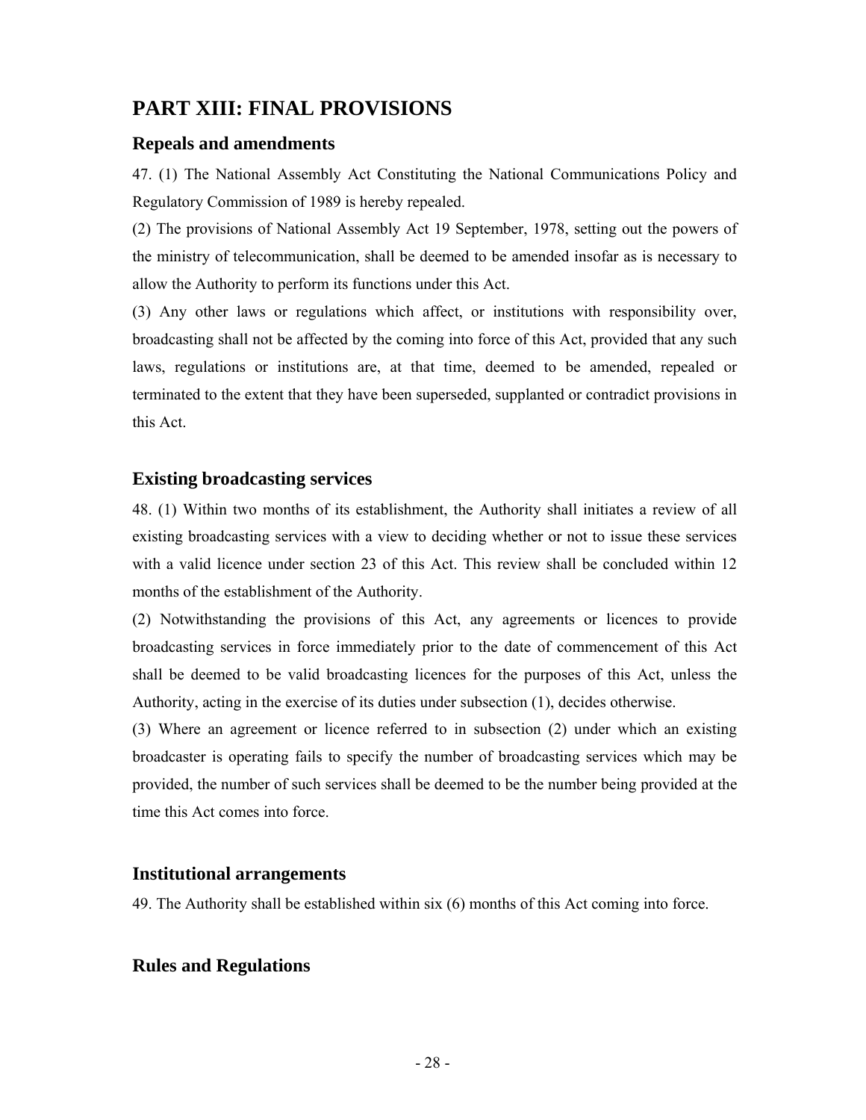# **PART XIII: FINAL PROVISIONS**

#### **Repeals and amendments**

47. (1) The National Assembly Act Constituting the National Communications Policy and Regulatory Commission of 1989 is hereby repealed.

(2) The provisions of National Assembly Act 19 September, 1978, setting out the powers of the ministry of telecommunication, shall be deemed to be amended insofar as is necessary to allow the Authority to perform its functions under this Act.

(3) Any other laws or regulations which affect, or institutions with responsibility over, broadcasting shall not be affected by the coming into force of this Act, provided that any such laws, regulations or institutions are, at that time, deemed to be amended, repealed or terminated to the extent that they have been superseded, supplanted or contradict provisions in this Act.

#### **Existing broadcasting services**

48. (1) Within two months of its establishment, the Authority shall initiates a review of all existing broadcasting services with a view to deciding whether or not to issue these services with a valid licence under section 23 of this Act. This review shall be concluded within 12 months of the establishment of the Authority.

(2) Notwithstanding the provisions of this Act, any agreements or licences to provide broadcasting services in force immediately prior to the date of commencement of this Act shall be deemed to be valid broadcasting licences for the purposes of this Act, unless the Authority, acting in the exercise of its duties under subsection (1), decides otherwise.

(3) Where an agreement or licence referred to in subsection (2) under which an existing broadcaster is operating fails to specify the number of broadcasting services which may be provided, the number of such services shall be deemed to be the number being provided at the time this Act comes into force.

#### **Institutional arrangements**

49. The Authority shall be established within six (6) months of this Act coming into force.

#### **Rules and Regulations**